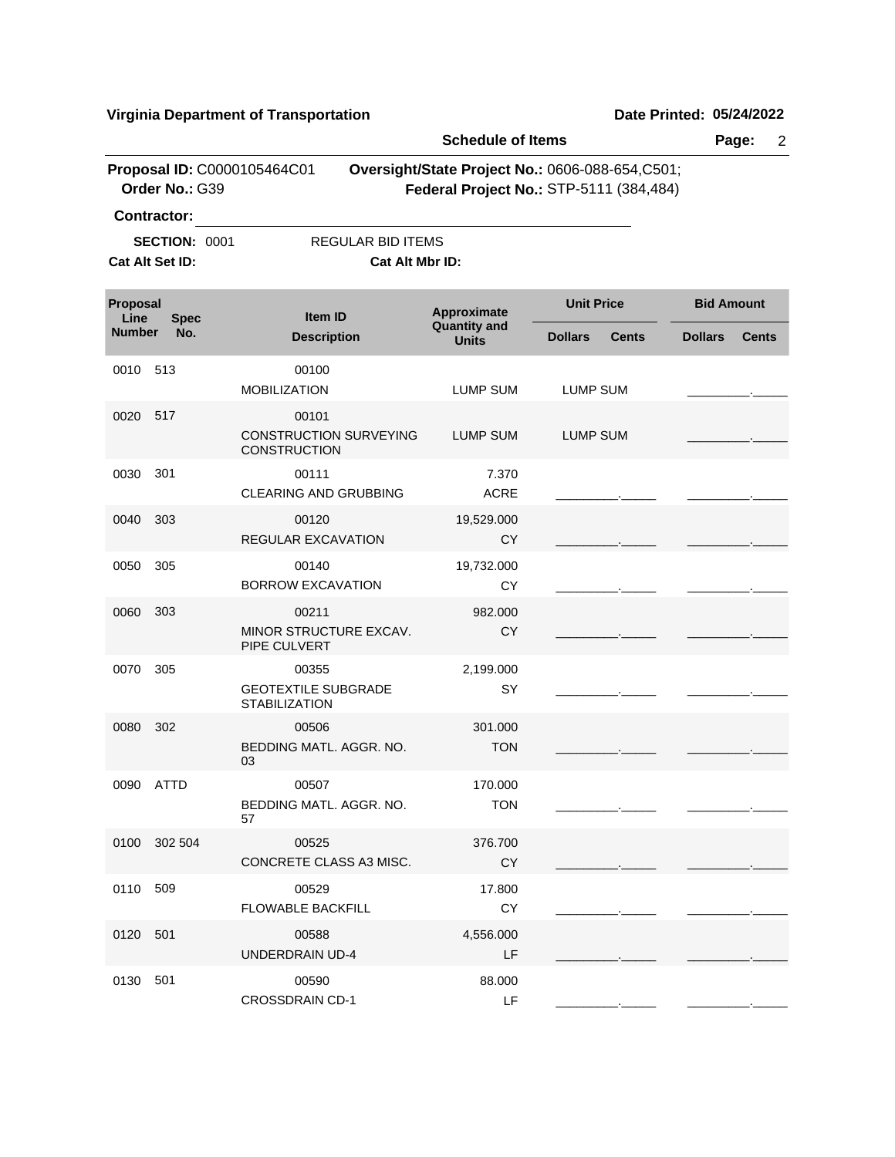|                  |                                         |                                                               | <b>Schedule of Items</b>                    |                                                                                             |                   | Page:<br>$\overline{2}$ |
|------------------|-----------------------------------------|---------------------------------------------------------------|---------------------------------------------|---------------------------------------------------------------------------------------------|-------------------|-------------------------|
|                  | Order No.: G39<br><b>Contractor:</b>    | Proposal ID: C0000105464C01                                   |                                             | Oversight/State Project No.: 0606-088-654, C501;<br>Federal Project No.: STP-5111 (384,484) |                   |                         |
|                  | <b>SECTION: 0001</b><br>Cat Alt Set ID: |                                                               | <b>REGULAR BID ITEMS</b><br>Cat Alt Mbr ID: |                                                                                             |                   |                         |
| Proposal<br>Line | <b>Spec</b>                             | <b>Item ID</b>                                                | Approximate                                 | <b>Unit Price</b>                                                                           | <b>Bid Amount</b> |                         |
| <b>Number</b>    | No.                                     | <b>Description</b>                                            | <b>Quantity and</b><br><b>Units</b>         | <b>Dollars</b><br><b>Cents</b>                                                              | <b>Dollars</b>    | <b>Cents</b>            |
| 0010             | 513                                     | 00100<br><b>MOBILIZATION</b>                                  | <b>LUMP SUM</b>                             | <b>LUMP SUM</b>                                                                             |                   |                         |
| 0020             | 517                                     | 00101<br><b>CONSTRUCTION SURVEYING</b><br><b>CONSTRUCTION</b> | <b>LUMP SUM</b>                             | <b>LUMP SUM</b>                                                                             |                   |                         |
| 0030             | 301                                     | 00111<br><b>CLEARING AND GRUBBING</b>                         | 7.370<br><b>ACRE</b>                        |                                                                                             |                   |                         |
| 0040             | 303                                     | 00120<br><b>REGULAR EXCAVATION</b>                            | 19,529.000<br><b>CY</b>                     |                                                                                             |                   |                         |
| 0050             | 305                                     | 00140<br><b>BORROW EXCAVATION</b>                             | 19,732.000<br>CY                            |                                                                                             |                   |                         |
| 0060             | 303                                     | 00211<br>MINOR STRUCTURE EXCAV.<br>PIPE CULVERT               | 982.000<br><b>CY</b>                        |                                                                                             |                   |                         |
| 0070             | 305                                     | 00355<br><b>GEOTEXTILE SUBGRADE</b><br><b>STABILIZATION</b>   | 2,199.000<br>SY                             |                                                                                             |                   |                         |
| 0080             | 302                                     | 00506<br>BEDDING MATL. AGGR. NO.<br>03                        | 301.000<br><b>TON</b>                       |                                                                                             |                   |                         |
|                  | 0090 ATTD                               | 00507<br>BEDDING MATL, AGGR, NO.<br>57                        | 170.000<br><b>TON</b>                       |                                                                                             |                   |                         |
|                  | 0100 302 504                            | 00525<br>CONCRETE CLASS A3 MISC.                              | 376.700<br><b>CY</b>                        |                                                                                             |                   |                         |
| 0110 509         |                                         | 00529<br><b>FLOWABLE BACKFILL</b>                             | 17.800<br>CY                                |                                                                                             |                   |                         |
| 0120 501         |                                         | 00588<br>UNDERDRAIN UD-4                                      | 4,556.000<br>LF                             |                                                                                             |                   |                         |
| 0130 501         |                                         | 00590<br><b>CROSSDRAIN CD-1</b>                               | 88.000<br>LF                                |                                                                                             |                   |                         |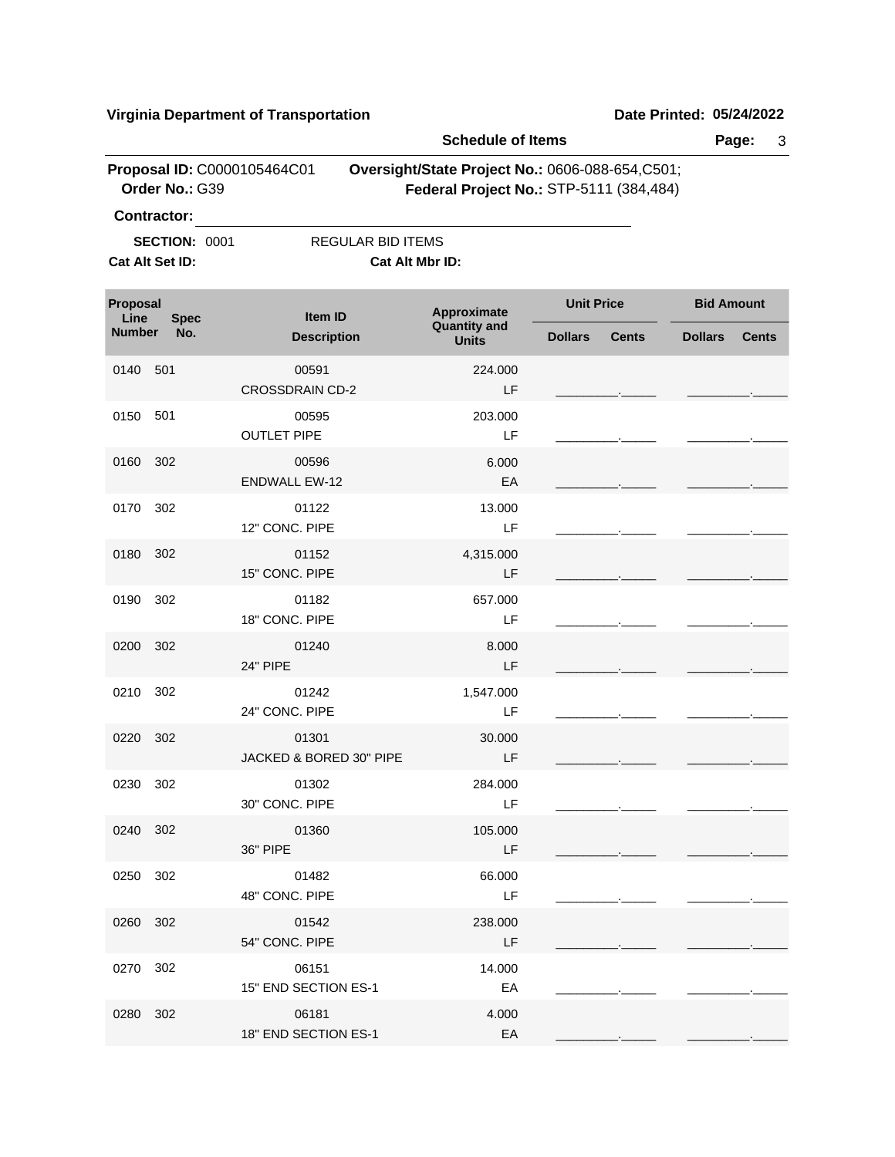|                  |                                         |                                             | <b>Schedule of Items</b>                                                                   |                   |              |                   | Page:<br>3   |
|------------------|-----------------------------------------|---------------------------------------------|--------------------------------------------------------------------------------------------|-------------------|--------------|-------------------|--------------|
|                  | Order No.: G39                          | Proposal ID: C0000105464C01                 | Oversight/State Project No.: 0606-088-654,C501;<br>Federal Project No.: STP-5111 (384,484) |                   |              |                   |              |
|                  | <b>Contractor:</b>                      |                                             |                                                                                            |                   |              |                   |              |
|                  | <b>SECTION: 0001</b><br>Cat Alt Set ID: | <b>REGULAR BID ITEMS</b><br>Cat Alt Mbr ID: |                                                                                            |                   |              |                   |              |
| Proposal<br>Line | <b>Spec</b>                             | Item ID                                     | Approximate<br><b>Quantity and</b>                                                         | <b>Unit Price</b> |              | <b>Bid Amount</b> |              |
| <b>Number</b>    | No.                                     | <b>Description</b>                          | <b>Units</b>                                                                               | <b>Dollars</b>    | <b>Cents</b> | <b>Dollars</b>    | <b>Cents</b> |
| 0140             | 501                                     | 00591<br><b>CROSSDRAIN CD-2</b>             | 224.000<br>LF                                                                              |                   |              |                   |              |
| 0150             | 501                                     | 00595<br><b>OUTLET PIPE</b>                 | 203.000<br>LF                                                                              |                   |              |                   |              |
| 0160             | 302                                     | 00596<br><b>ENDWALL EW-12</b>               | 6.000<br>EA                                                                                |                   |              |                   |              |
| 0170             | 302                                     | 01122<br>12" CONC. PIPE                     | 13.000<br>LF                                                                               |                   |              |                   |              |
| 0180             | 302                                     | 01152<br>15" CONC. PIPE                     | 4,315.000<br>LF                                                                            |                   |              |                   |              |
| 0190             | 302                                     | 01182<br>18" CONC. PIPE                     | 657.000<br>LF                                                                              |                   |              |                   |              |
| 0200             | 302                                     | 01240<br><b>24" PIPE</b>                    | 8.000<br>LF                                                                                |                   |              |                   |              |
| 0210             | 302                                     | 01242<br>24" CONC. PIPE                     | 1,547.000<br>LF                                                                            |                   |              |                   |              |
| 0220             | 302                                     | 01301<br>JACKED & BORED 30" PIPE            | 30.000<br>LF                                                                               |                   |              |                   |              |
| 0230 302         |                                         | 01302<br>30" CONC. PIPE                     | 284.000<br>LF                                                                              |                   |              |                   |              |
| 0240 302         |                                         | 01360<br>36" PIPE                           | 105.000<br>LF                                                                              |                   |              |                   |              |
| 0250 302         |                                         | 01482<br>48" CONC. PIPE                     | 66.000<br>LF                                                                               |                   |              |                   |              |
| 0260 302         |                                         | 01542<br>54" CONC. PIPE                     | 238.000<br>LF                                                                              |                   |              |                   |              |
| 0270 302         |                                         | 06151<br>15" END SECTION ES-1               | 14.000<br>EA                                                                               |                   |              |                   |              |
| 0280 302         |                                         | 06181<br>18" END SECTION ES-1               | 4.000<br>EA                                                                                |                   |              |                   |              |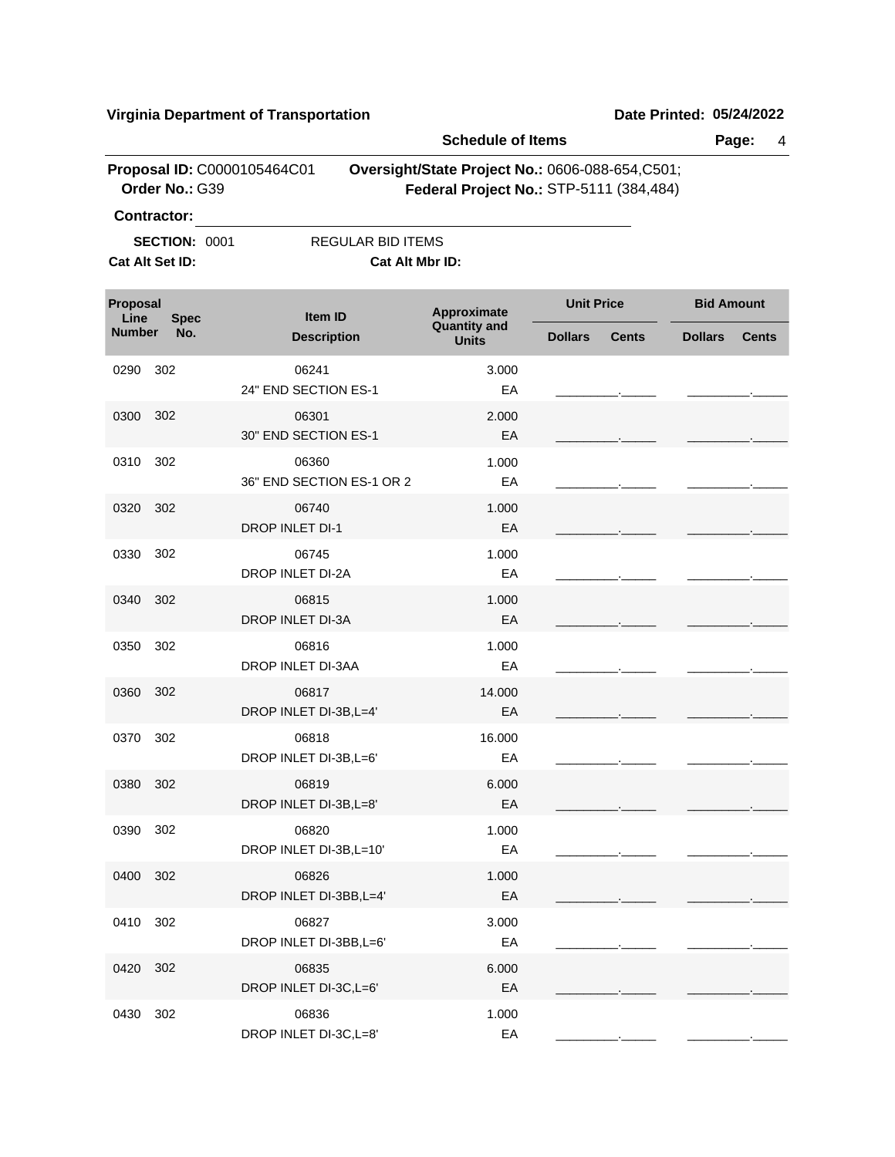|                  |                                         |                                             | <b>Schedule of Items</b>                                                                   |                   |              |                   | Page:<br>4   |
|------------------|-----------------------------------------|---------------------------------------------|--------------------------------------------------------------------------------------------|-------------------|--------------|-------------------|--------------|
|                  | Order No.: G39<br><b>Contractor:</b>    | Proposal ID: C0000105464C01                 | Oversight/State Project No.: 0606-088-654,C501;<br>Federal Project No.: STP-5111 (384,484) |                   |              |                   |              |
|                  | <b>SECTION: 0001</b><br>Cat Alt Set ID: | <b>REGULAR BID ITEMS</b><br>Cat Alt Mbr ID: |                                                                                            |                   |              |                   |              |
| Proposal<br>Line | <b>Spec</b>                             | Item ID                                     | Approximate                                                                                | <b>Unit Price</b> |              | <b>Bid Amount</b> |              |
| <b>Number</b>    | No.                                     | <b>Description</b>                          | <b>Quantity and</b><br><b>Units</b>                                                        | <b>Dollars</b>    | <b>Cents</b> | <b>Dollars</b>    | <b>Cents</b> |
| 0290             | 302                                     | 06241<br>24" END SECTION ES-1               | 3.000<br>EA                                                                                |                   |              |                   |              |
| 0300             | 302                                     | 06301<br>30" END SECTION ES-1               | 2.000<br>EA                                                                                |                   |              |                   |              |
| 0310             | 302                                     | 06360<br>36" END SECTION ES-1 OR 2          | 1.000<br>EA                                                                                |                   |              |                   |              |
| 0320             | 302                                     | 06740<br>DROP INLET DI-1                    | 1.000<br>EA                                                                                |                   |              |                   |              |
| 0330             | 302                                     | 06745<br>DROP INLET DI-2A                   | 1.000<br>EA                                                                                |                   |              |                   |              |
| 0340             | 302                                     | 06815<br>DROP INLET DI-3A                   | 1.000<br>EA                                                                                |                   |              |                   |              |
| 0350             | 302                                     | 06816<br>DROP INLET DI-3AA                  | 1.000<br>EA                                                                                |                   |              |                   |              |
| 0360             | 302                                     | 06817<br>DROP INLET DI-3B, L=4'             | 14.000<br>EA                                                                               |                   |              |                   |              |
| 0370             | 302                                     | 06818<br>DROP INLET DI-3B, L=6'             | 16.000<br>EA                                                                               |                   |              |                   |              |
| 0380             | 302                                     | 06819<br>DROP INLET DI-3B, L=8'             | 6.000<br>EA                                                                                |                   |              |                   |              |
| 0390             | 302                                     | 06820<br>DROP INLET DI-3B, L=10'            | 1.000<br>EA                                                                                |                   |              |                   |              |
| 0400             | 302                                     | 06826<br>DROP INLET DI-3BB, L=4'            | 1.000<br>EA                                                                                |                   |              |                   |              |
| 0410             | 302                                     | 06827<br>DROP INLET DI-3BB, L=6'            | 3.000<br>EA                                                                                |                   |              |                   |              |
| 0420             | 302                                     | 06835<br>DROP INLET DI-3C, L=6'             | 6.000<br>EA                                                                                |                   |              |                   |              |
| 0430             | 302                                     | 06836<br>DROP INLET DI-3C, L=8'             | 1.000<br>EA                                                                                |                   |              |                   |              |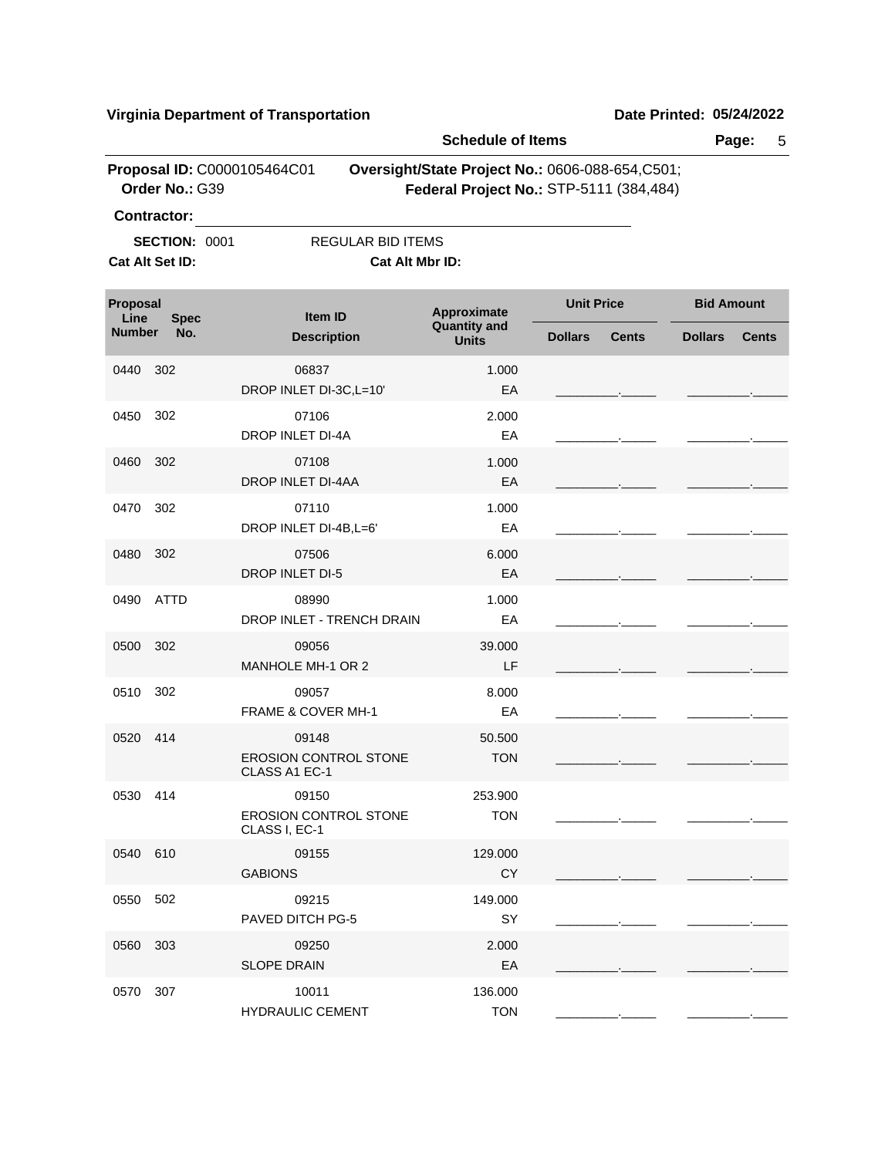|                  |                                               |                                                        | <b>Schedule of Items</b>                                                                   |                   |              |                   | Page:<br>5   |
|------------------|-----------------------------------------------|--------------------------------------------------------|--------------------------------------------------------------------------------------------|-------------------|--------------|-------------------|--------------|
|                  | Proposal ID: C0000105464C01<br>Order No.: G39 |                                                        | Oversight/State Project No.: 0606-088-654,C501;<br>Federal Project No.: STP-5111 (384,484) |                   |              |                   |              |
|                  | Contractor:                                   |                                                        |                                                                                            |                   |              |                   |              |
|                  | <b>SECTION: 0001</b><br>Cat Alt Set ID:       | <b>REGULAR BID ITEMS</b><br>Cat Alt Mbr ID:            |                                                                                            |                   |              |                   |              |
| Proposal<br>Line | <b>Spec</b>                                   | Item ID                                                | Approximate                                                                                | <b>Unit Price</b> |              | <b>Bid Amount</b> |              |
| <b>Number</b>    | No.                                           | <b>Description</b>                                     | <b>Quantity and</b><br><b>Units</b>                                                        | <b>Dollars</b>    | <b>Cents</b> | <b>Dollars</b>    | <b>Cents</b> |
| 0440             | 302                                           | 06837<br>DROP INLET DI-3C, L=10'                       | 1.000<br>EA                                                                                |                   |              |                   |              |
| 0450             | 302                                           | 07106<br><b>DROP INLET DI-4A</b>                       | 2.000<br>EA                                                                                |                   |              |                   |              |
| 0460             | 302                                           | 07108<br>DROP INLET DI-4AA                             | 1.000<br>EA                                                                                |                   |              |                   |              |
| 0470             | 302                                           | 07110<br>DROP INLET DI-4B, L=6'                        | 1.000<br>EA                                                                                |                   |              |                   |              |
| 0480             | 302                                           | 07506<br>DROP INLET DI-5                               | 6.000<br>EA                                                                                |                   |              |                   |              |
| 0490             | <b>ATTD</b>                                   | 08990<br>DROP INLET - TRENCH DRAIN                     | 1.000<br>EA                                                                                |                   |              |                   |              |
| 0500             | 302                                           | 09056<br>MANHOLE MH-1 OR 2                             | 39.000<br>LF                                                                               |                   |              |                   |              |
| 0510             | 302                                           | 09057<br>FRAME & COVER MH-1                            | 8.000<br>EA                                                                                |                   |              |                   |              |
| 0520             | 414                                           | 09148<br><b>EROSION CONTROL STONE</b><br>CLASS A1 EC-1 | 50.500<br><b>TON</b>                                                                       |                   |              |                   |              |
| 0530 414         |                                               | 09150<br>EROSION CONTROL STONE<br>CLASS I, EC-1        | 253.900<br><b>TON</b>                                                                      |                   |              |                   |              |
| 0540 610         |                                               | 09155<br><b>GABIONS</b>                                | 129.000<br><b>CY</b>                                                                       |                   |              |                   |              |
| 0550             | 502                                           | 09215<br><b>PAVED DITCH PG-5</b>                       | 149.000<br>SY                                                                              |                   |              |                   |              |
| 0560             | 303                                           | 09250<br><b>SLOPE DRAIN</b>                            | 2.000<br>EA                                                                                |                   |              |                   |              |
| 0570             | 307                                           | 10011<br><b>HYDRAULIC CEMENT</b>                       | 136.000<br><b>TON</b>                                                                      |                   |              |                   |              |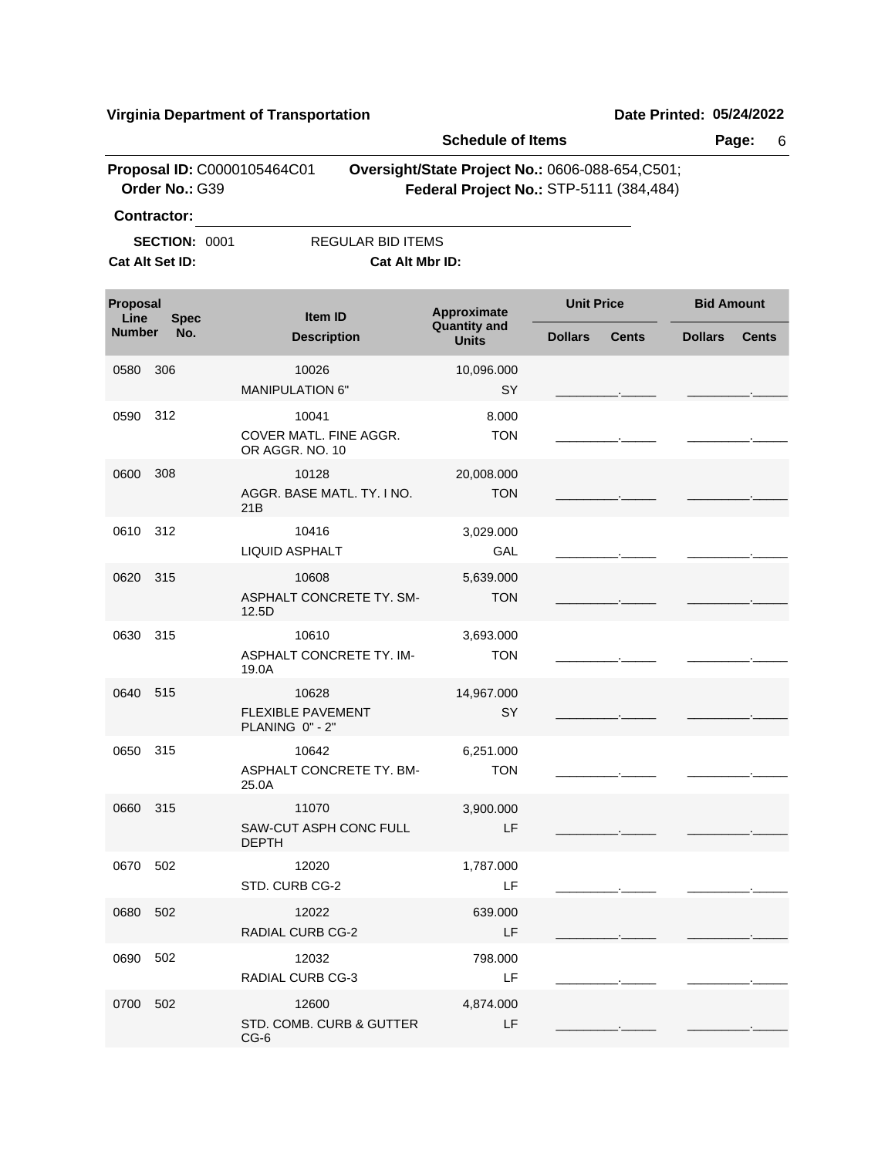**Schedule of Items Page:** 6 **Proposal ID: C0000105464C01 Oversight/State Project No.: 0606-088-654,C501; Order No.:** G39 **Federal Project No.:** STP-5111 (384,484) **Contractor: SECTION: 0001** REGULAR BID ITEMS **Cat Alt Set ID: Cat Alt Mbr ID: Approximate Unit Price Bid Amount**<br>Quantity and **All Contract Contract Contract Contract Contract Contract Contract Contract Contract Contract Contract Contract Contract Contract Contract Contract Contract Contract Cont Quantity and Description Units Item ID Proposal Line**<br>**Number Number Dollars Cents Dollars Cents Spec No.** 0580 10026 MANIPULATION 6" SY 10,096.000 \_\_\_\_\_\_\_\_\_.\_\_\_\_\_ \_\_\_\_\_\_\_\_\_.\_\_\_\_\_ 306 0590 10041 312 COVER MATL. FINE AGGR. OR AGGR. NO. 10 **TON** 8.000 \_\_\_\_\_\_\_\_\_.\_\_\_\_\_ \_\_\_\_\_\_\_\_\_.\_\_\_\_\_ 0600 10128 AGGR. BASE MATL. TY. I NO. 21B TON 20,008.000 \_\_\_\_\_\_\_\_\_.\_\_\_\_\_ \_\_\_\_\_\_\_\_\_.\_\_\_\_\_ 308 0610 10416 312 LIQUID ASPHALT GAL 3,029.000 \_\_\_\_\_\_\_\_\_.\_\_\_\_\_ \_\_\_\_\_\_\_\_\_.\_\_\_\_\_ 0620 10608 315 ASPHALT CONCRETE TY. SM-12.5D **TON** 5,639.000 \_\_\_\_\_\_\_\_\_.\_\_\_\_\_ \_\_\_\_\_\_\_\_\_.\_\_\_\_\_ 0630 10610 315 ASPHALT CONCRETE TY. IM-19.0A **TON** 3,693.000 \_\_\_\_\_\_\_\_\_.\_\_\_\_\_ \_\_\_\_\_\_\_\_\_.\_\_\_\_\_ 0640 10628 FLEXIBLE PAVEMENT PLANING 0" - 2" SY 14,967.000 \_\_\_\_\_\_\_\_\_.\_\_\_\_\_ \_\_\_\_\_\_\_\_\_.\_\_\_\_\_ 515 0650 10642 315 ASPHALT CONCRETE TY. BM-25.0A **TON** 6,251.000 \_\_\_\_\_\_\_\_\_.\_\_\_\_\_ \_\_\_\_\_\_\_\_\_.\_\_\_\_\_ 0660 11070 SAW-CUT ASPH CONC FULL DEPTH LF 3,900.000 \_\_\_\_\_\_\_\_\_.\_\_\_\_\_ \_\_\_\_\_\_\_\_\_.\_\_\_\_\_ 315 0670 12020 STD. CURB CG-2 LF 1,787.000 \_\_\_\_\_\_\_\_\_.\_\_\_\_\_ \_\_\_\_\_\_\_\_\_.\_\_\_\_\_ 502 0680 12022 RADIAL CURB CG-2 LF 639.000 \_\_\_\_\_\_\_\_\_.\_\_\_\_\_ \_\_\_\_\_\_\_\_\_.\_\_\_\_\_ 502 0690 12032 RADIAL CURB CG-3 LF 798.000 \_\_\_\_\_\_\_\_\_.\_\_\_\_\_ \_\_\_\_\_\_\_\_\_.\_\_\_\_\_ 502 0700 12600 502STD. COMB. CURB & GUTTER CG-6 LF 4,874.000 \_\_\_\_\_\_\_\_\_.\_\_\_\_\_ \_\_\_\_\_\_\_\_\_.\_\_\_\_\_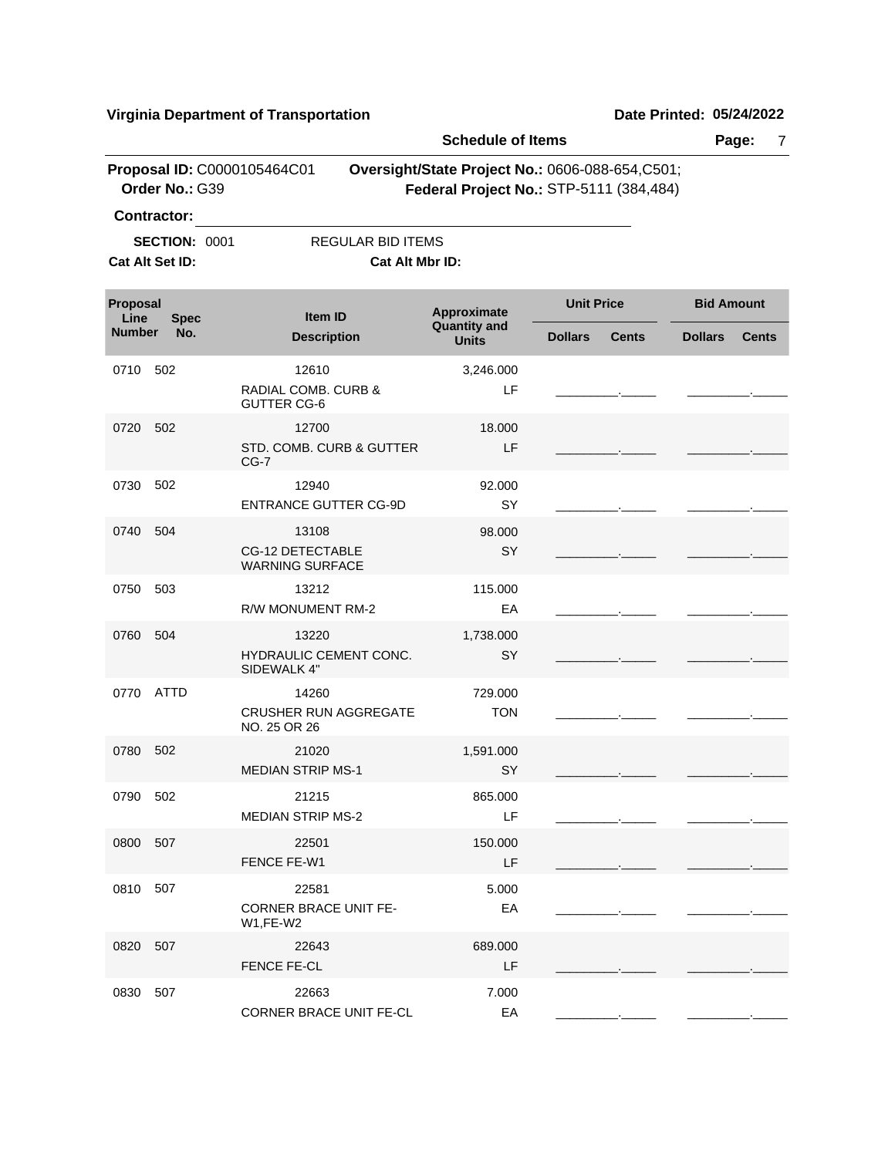|                  |                                               |                                                | <b>Schedule of Items</b>                                                                    |                   |                          |                   | Page:<br>7   |
|------------------|-----------------------------------------------|------------------------------------------------|---------------------------------------------------------------------------------------------|-------------------|--------------------------|-------------------|--------------|
|                  | Proposal ID: C0000105464C01<br>Order No.: G39 |                                                | Oversight/State Project No.: 0606-088-654, C501;<br>Federal Project No.: STP-5111 (384,484) |                   |                          |                   |              |
|                  | <b>Contractor:</b>                            |                                                |                                                                                             |                   |                          |                   |              |
|                  | <b>SECTION: 0001</b>                          | <b>REGULAR BID ITEMS</b>                       |                                                                                             |                   |                          |                   |              |
|                  | Cat Alt Set ID:                               | Cat Alt Mbr ID:                                |                                                                                             |                   |                          |                   |              |
| Proposal<br>Line | <b>Spec</b>                                   | Item ID                                        | Approximate<br><b>Quantity and</b>                                                          | <b>Unit Price</b> |                          | <b>Bid Amount</b> |              |
| <b>Number</b>    | No.                                           | <b>Description</b>                             | <b>Units</b>                                                                                | <b>Dollars</b>    | <b>Cents</b>             | <b>Dollars</b>    | <b>Cents</b> |
| 0710             | 502                                           | 12610                                          | 3,246.000                                                                                   |                   |                          |                   |              |
|                  |                                               | RADIAL COMB. CURB &<br><b>GUTTER CG-6</b>      | LF                                                                                          |                   |                          |                   |              |
| 0720             | 502                                           | 12700                                          | 18,000                                                                                      |                   |                          |                   |              |
|                  |                                               | STD. COMB. CURB & GUTTER<br>$CG-7$             | LF                                                                                          |                   |                          |                   |              |
| 0730             | 502                                           | 12940                                          | 92.000                                                                                      |                   |                          |                   |              |
|                  |                                               | <b>ENTRANCE GUTTER CG-9D</b>                   | SY                                                                                          |                   |                          |                   |              |
| 0740             | 504                                           | 13108                                          | 98.000                                                                                      |                   |                          |                   |              |
|                  |                                               | CG-12 DETECTABLE<br><b>WARNING SURFACE</b>     | SY                                                                                          |                   |                          |                   |              |
| 0750             | 503                                           | 13212                                          | 115.000                                                                                     |                   |                          |                   |              |
|                  |                                               | R/W MONUMENT RM-2                              | EA                                                                                          |                   |                          |                   |              |
| 0760             | 504                                           | 13220<br>HYDRAULIC CEMENT CONC.<br>SIDEWALK 4" | 1,738.000<br>SY                                                                             |                   | <b>Contract Contract</b> |                   |              |
| 0770             | <b>ATTD</b>                                   | 14260                                          | 729.000                                                                                     |                   |                          |                   |              |
|                  |                                               | <b>CRUSHER RUN AGGREGATE</b><br>NO. 25 OR 26   | <b>TON</b>                                                                                  |                   |                          |                   |              |
| 0780             | 502                                           | 21020                                          | 1,591.000                                                                                   |                   |                          |                   |              |
|                  |                                               | <b>MEDIAN STRIP MS-1</b>                       | SY                                                                                          |                   |                          |                   |              |
| 0790 502         |                                               | 21215<br><b>MEDIAN STRIP MS-2</b>              | 865.000<br>LF                                                                               |                   |                          |                   |              |
| 0800 507         |                                               | 22501                                          | 150.000                                                                                     |                   |                          |                   |              |
|                  |                                               | FENCE FE-W1                                    | LF.                                                                                         |                   |                          |                   |              |
| 0810             | 507                                           | 22581                                          | 5.000                                                                                       |                   |                          |                   |              |
|                  |                                               | <b>CORNER BRACE UNIT FE-</b><br>W1,FE-W2       | EA                                                                                          |                   |                          |                   |              |
| 0820             | 507                                           | 22643<br>FENCE FE-CL                           | 689,000<br>LF                                                                               |                   |                          |                   |              |
| 0830             | 507                                           | 22663                                          | 7.000                                                                                       |                   |                          |                   |              |
|                  |                                               | CORNER BRACE UNIT FE-CL                        | EA                                                                                          |                   |                          |                   |              |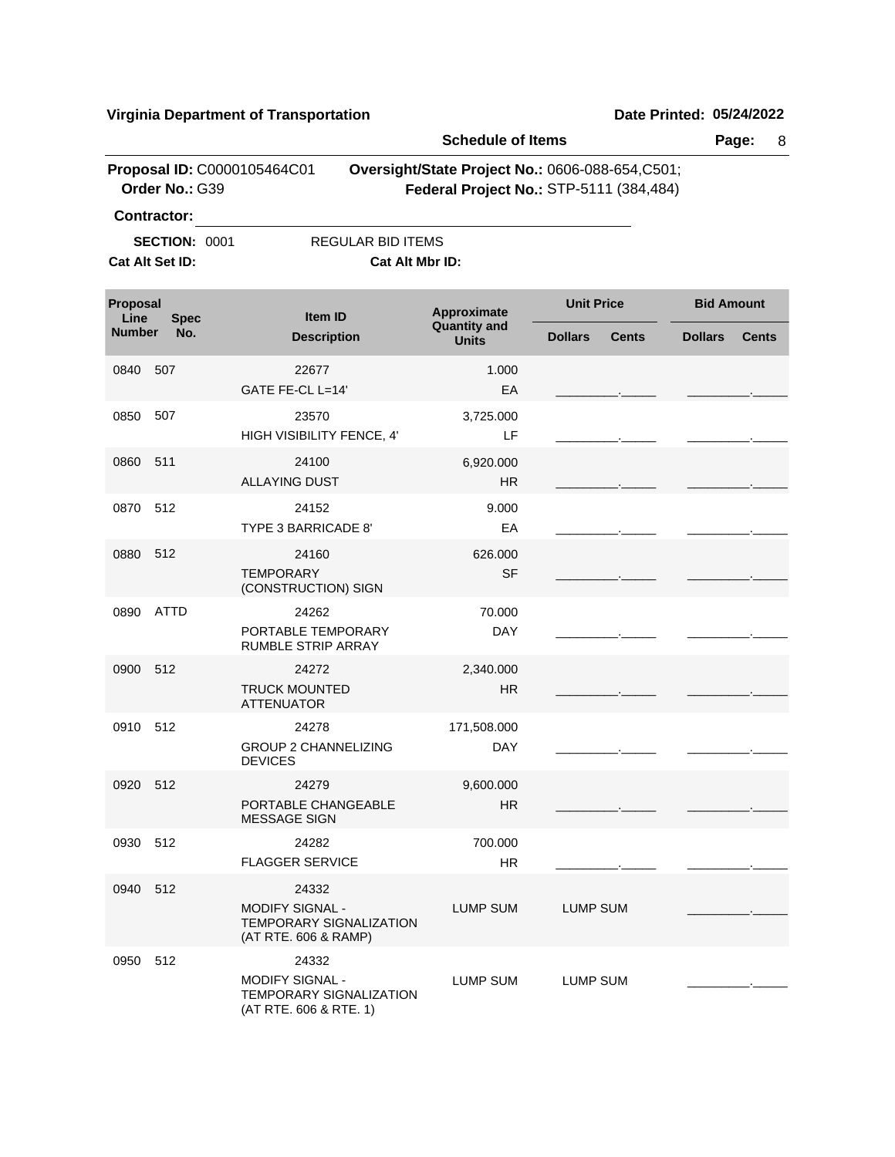|                  |                      |                                                                                             |                          | <b>Schedule of Items</b>                                                                    |                   |              |                   | Page:<br>8   |
|------------------|----------------------|---------------------------------------------------------------------------------------------|--------------------------|---------------------------------------------------------------------------------------------|-------------------|--------------|-------------------|--------------|
|                  | Order No.: G39       | Proposal ID: C0000105464C01                                                                 |                          | Oversight/State Project No.: 0606-088-654, C501;<br>Federal Project No.: STP-5111 (384,484) |                   |              |                   |              |
|                  | <b>Contractor:</b>   |                                                                                             |                          |                                                                                             |                   |              |                   |              |
|                  | <b>SECTION: 0001</b> |                                                                                             | <b>REGULAR BID ITEMS</b> |                                                                                             |                   |              |                   |              |
|                  | Cat Alt Set ID:      |                                                                                             | Cat Alt Mbr ID:          |                                                                                             |                   |              |                   |              |
| Proposal<br>Line | <b>Spec</b>          | Item ID                                                                                     |                          | Approximate                                                                                 | <b>Unit Price</b> |              | <b>Bid Amount</b> |              |
| <b>Number</b>    | No.                  | <b>Description</b>                                                                          |                          | <b>Quantity and</b><br><b>Units</b>                                                         | <b>Dollars</b>    | <b>Cents</b> | <b>Dollars</b>    | <b>Cents</b> |
| 0840             | 507                  | 22677<br>GATE FE-CL L=14'                                                                   |                          | 1.000<br>EA                                                                                 |                   |              |                   |              |
| 0850             | 507                  | 23570<br>HIGH VISIBILITY FENCE, 4'                                                          |                          | 3,725.000<br>LF                                                                             |                   |              |                   |              |
| 0860             | 511                  | 24100<br><b>ALLAYING DUST</b>                                                               |                          | 6,920.000<br><b>HR</b>                                                                      |                   |              |                   |              |
| 0870             | 512                  | 24152<br>TYPE 3 BARRICADE 8'                                                                |                          | 9.000<br>EA                                                                                 |                   |              |                   |              |
| 0880             | 512                  | 24160<br><b>TEMPORARY</b><br>(CONSTRUCTION) SIGN                                            |                          | 626,000<br><b>SF</b>                                                                        |                   |              |                   |              |
| 0890             | <b>ATTD</b>          | 24262<br>PORTABLE TEMPORARY<br>RUMBLE STRIP ARRAY                                           |                          | 70.000<br><b>DAY</b>                                                                        |                   |              |                   |              |
| 0900             | 512                  | 24272<br><b>TRUCK MOUNTED</b><br><b>ATTENUATOR</b>                                          |                          | 2,340.000<br><b>HR</b>                                                                      |                   |              |                   |              |
| 0910 512         |                      | 24278<br><b>GROUP 2 CHANNELIZING</b><br><b>DEVICES</b>                                      |                          | 171,508.000<br><b>DAY</b>                                                                   |                   |              |                   |              |
| 0920 512         |                      | 24279<br>PORTABLE CHANGEABLE<br><b>MESSAGE SIGN</b>                                         |                          | 9,600.000<br><b>HR</b>                                                                      |                   |              |                   |              |
|                  | 0930 512             | 24282<br><b>FLAGGER SERVICE</b>                                                             |                          | 700.000<br><b>HR</b>                                                                        |                   |              |                   |              |
|                  | 0940 512             | 24332<br><b>MODIFY SIGNAL -</b><br><b>TEMPORARY SIGNALIZATION</b><br>(AT RTE. 606 & RAMP)   |                          | <b>LUMP SUM</b>                                                                             | LUMP SUM          |              |                   |              |
|                  | 0950 512             | 24332<br><b>MODIFY SIGNAL -</b><br><b>TEMPORARY SIGNALIZATION</b><br>(AT RTE. 606 & RTE. 1) |                          | LUMP SUM                                                                                    | LUMP SUM          |              |                   |              |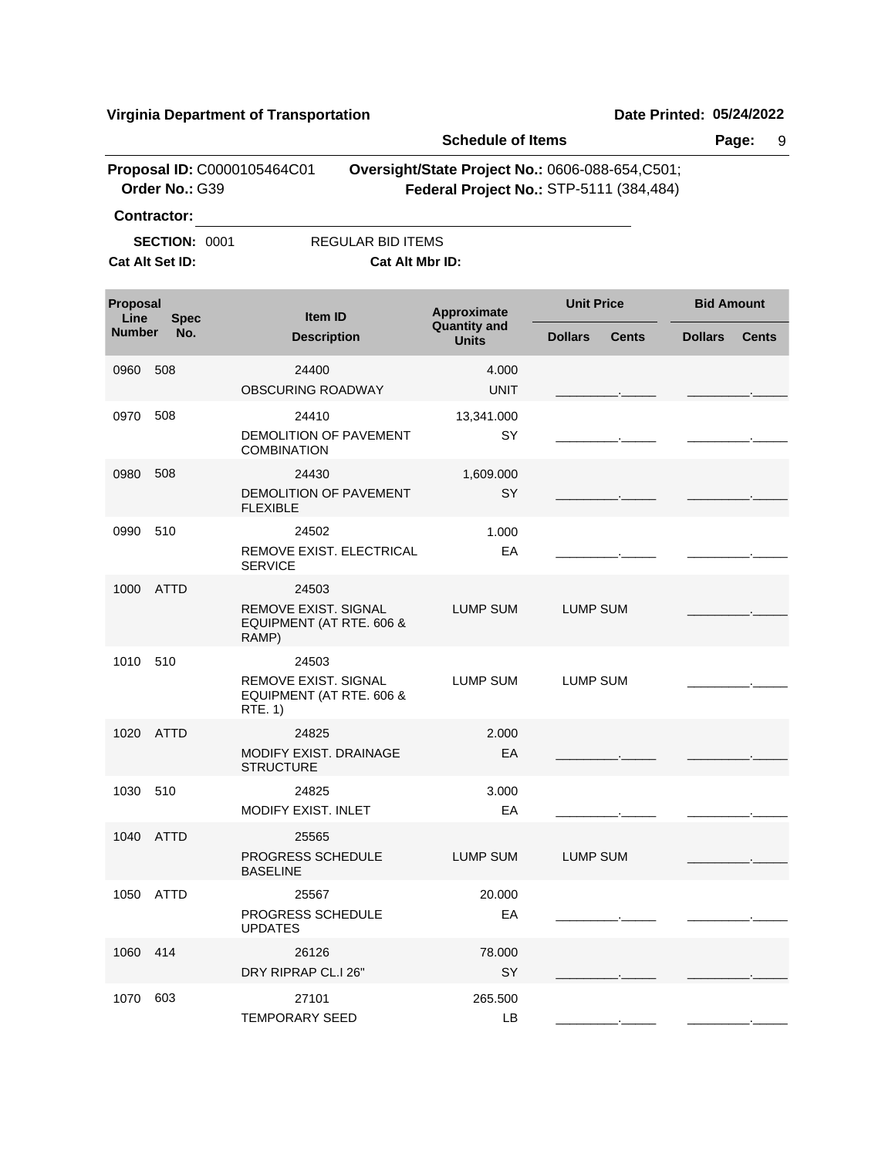|                  |                      |                                                                           | <b>Schedule of Items</b>           |                                                                                             |                                |  |
|------------------|----------------------|---------------------------------------------------------------------------|------------------------------------|---------------------------------------------------------------------------------------------|--------------------------------|--|
|                  | Order No.: G39       | Proposal ID: C0000105464C01                                               |                                    | Oversight/State Project No.: 0606-088-654, C501;<br>Federal Project No.: STP-5111 (384,484) |                                |  |
|                  | <b>Contractor:</b>   |                                                                           |                                    |                                                                                             |                                |  |
|                  | <b>SECTION: 0001</b> | <b>REGULAR BID ITEMS</b>                                                  |                                    |                                                                                             |                                |  |
|                  | Cat Alt Set ID:      | Cat Alt Mbr ID:                                                           |                                    |                                                                                             |                                |  |
| Proposal<br>Line | <b>Spec</b>          | <b>Item ID</b>                                                            | Approximate<br><b>Quantity and</b> | <b>Unit Price</b>                                                                           | <b>Bid Amount</b>              |  |
| <b>Number</b>    | No.                  | <b>Description</b>                                                        | <b>Units</b>                       | <b>Dollars</b><br><b>Cents</b>                                                              | <b>Dollars</b><br><b>Cents</b> |  |
| 0960             | 508                  | 24400<br>OBSCURING ROADWAY                                                | 4.000<br><b>UNIT</b>               |                                                                                             |                                |  |
| 0970             | 508                  | 24410<br><b>DEMOLITION OF PAVEMENT</b><br><b>COMBINATION</b>              | 13,341.000<br>SY                   |                                                                                             |                                |  |
| 0980             | 508                  | 24430<br>DEMOLITION OF PAVEMENT<br><b>FLEXIBLE</b>                        | 1,609.000<br>SY                    |                                                                                             |                                |  |
| 0990             | 510                  | 24502<br>REMOVE EXIST. ELECTRICAL<br><b>SERVICE</b>                       | 1.000<br>EA                        |                                                                                             |                                |  |
| 1000             | ATTD                 | 24503<br><b>REMOVE EXIST, SIGNAL</b><br>EQUIPMENT (AT RTE. 606 &<br>RAMP) | <b>LUMP SUM</b>                    | <b>LUMP SUM</b>                                                                             |                                |  |
| 1010 510         |                      | 24503<br>REMOVE EXIST, SIGNAL<br>EQUIPMENT (AT RTE. 606 &<br>RTE. 1)      | <b>LUMP SUM</b>                    | LUMP SUM                                                                                    |                                |  |
| 1020             | ATTD                 | 24825<br>MODIFY EXIST, DRAINAGE<br><b>STRUCTURE</b>                       | 2.000<br>EA                        |                                                                                             |                                |  |
| 1030 510         |                      | 24825<br>MODIFY EXIST. INLET                                              | 3.000<br>EA                        |                                                                                             |                                |  |
|                  | 1040 ATTD            | 25565<br>PROGRESS SCHEDULE<br><b>BASELINE</b>                             | LUMP SUM                           | <b>LUMP SUM</b>                                                                             |                                |  |
|                  | 1050 ATTD            | 25567<br>PROGRESS SCHEDULE<br><b>UPDATES</b>                              | 20.000<br>EA                       |                                                                                             |                                |  |
| 1060 414         |                      | 26126<br>DRY RIPRAP CL.I 26"                                              | 78.000<br>SY                       |                                                                                             |                                |  |
| 1070 603         |                      | 27101<br><b>TEMPORARY SEED</b>                                            | 265.500<br>LB                      |                                                                                             |                                |  |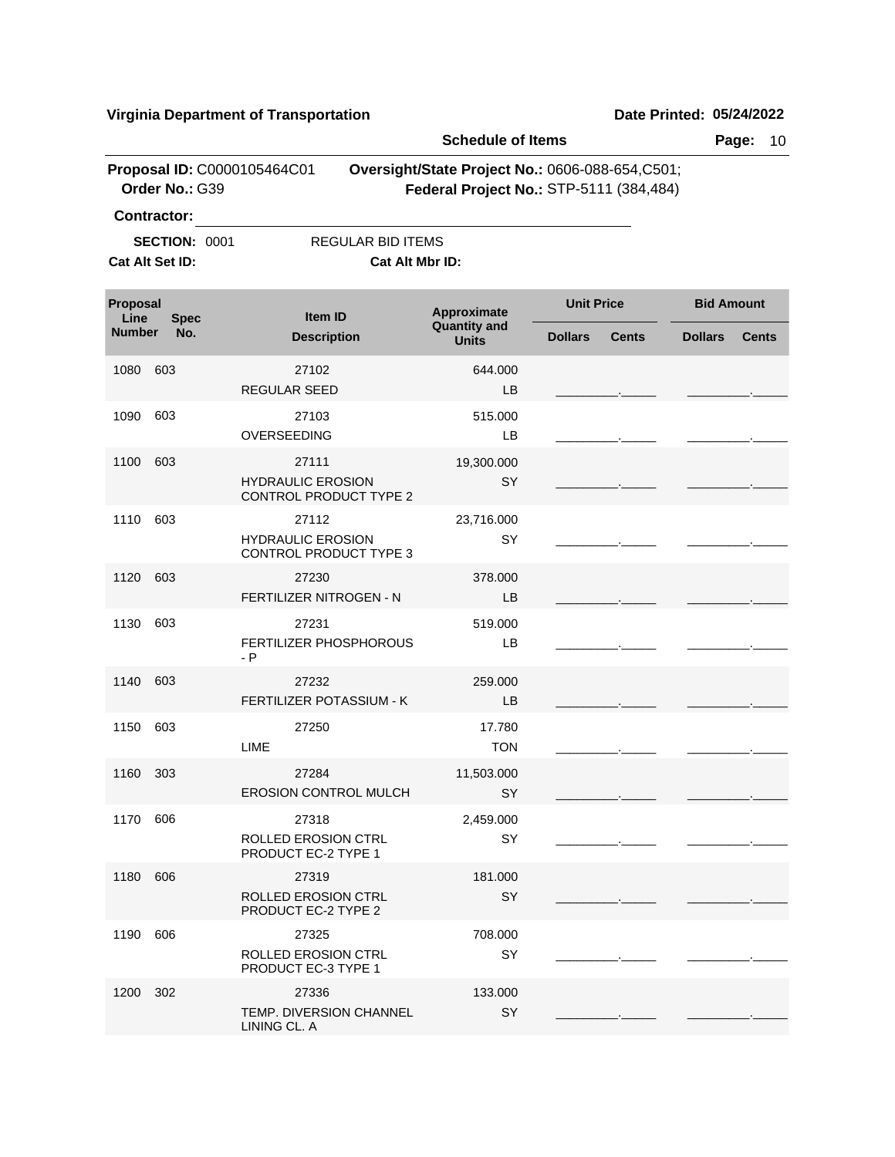|                  |                      |                                                             | <b>Schedule of Items</b>                                                                    |                   |              |                   | Page:<br>10  |
|------------------|----------------------|-------------------------------------------------------------|---------------------------------------------------------------------------------------------|-------------------|--------------|-------------------|--------------|
|                  | Order No.: G39       | Proposal ID: C0000105464C01                                 | Oversight/State Project No.: 0606-088-654, C501;<br>Federal Project No.: STP-5111 (384,484) |                   |              |                   |              |
|                  | <b>Contractor:</b>   |                                                             |                                                                                             |                   |              |                   |              |
|                  | <b>SECTION: 0001</b> | <b>REGULAR BID ITEMS</b>                                    |                                                                                             |                   |              |                   |              |
|                  | Cat Alt Set ID:      | Cat Alt Mbr ID:                                             |                                                                                             |                   |              |                   |              |
| Proposal<br>Line | <b>Spec</b>          | Item ID                                                     | Approximate                                                                                 | <b>Unit Price</b> |              | <b>Bid Amount</b> |              |
| <b>Number</b>    | No.                  | <b>Description</b>                                          | <b>Quantity and</b><br><b>Units</b>                                                         | <b>Dollars</b>    | <b>Cents</b> | <b>Dollars</b>    | <b>Cents</b> |
| 1080             | 603                  | 27102<br><b>REGULAR SEED</b>                                | 644.000<br>LB                                                                               |                   |              |                   |              |
| 1090             | 603                  | 27103<br>OVERSEEDING                                        | 515.000<br>LВ                                                                               |                   |              |                   |              |
|                  |                      |                                                             |                                                                                             |                   |              |                   |              |
| 1100             | 603                  | 27111<br><b>HYDRAULIC EROSION</b><br>CONTROL PRODUCT TYPE 2 | 19,300.000<br>SY                                                                            |                   |              |                   |              |
| 1110             | 603                  | 27112<br><b>HYDRAULIC EROSION</b><br>CONTROL PRODUCT TYPE 3 | 23,716.000<br>SY                                                                            |                   |              |                   |              |
| 1120             | 603                  | 27230<br>FERTILIZER NITROGEN - N                            | 378.000<br>LB                                                                               |                   |              |                   |              |
| 1130             | 603                  | 27231<br><b>FERTILIZER PHOSPHOROUS</b><br>$- P$             | 519.000<br>LВ                                                                               |                   |              |                   |              |
| 1140             | 603                  | 27232<br>FERTILIZER POTASSIUM - K                           | 259.000<br>LB                                                                               |                   |              |                   |              |
| 1150             | 603                  | 27250<br>LIME                                               | 17.780<br><b>TON</b>                                                                        |                   |              |                   |              |
| 1160             | 303                  | 27284<br><b>EROSION CONTROL MULCH</b>                       | 11,503.000<br>SY                                                                            |                   |              |                   |              |
| 1170 606         |                      | 27318<br><b>ROLLED EROSION CTRL</b><br>PRODUCT EC-2 TYPE 1  | 2,459.000<br>SY                                                                             |                   |              |                   |              |
| 1180 606         |                      | 27319<br><b>ROLLED EROSION CTRL</b><br>PRODUCT EC-2 TYPE 2  | 181.000<br>SY                                                                               |                   |              |                   |              |
| 1190             | 606                  | 27325<br><b>ROLLED EROSION CTRL</b><br>PRODUCT EC-3 TYPE 1  | 708.000<br>SY                                                                               |                   |              |                   |              |
| 1200             | 302                  | 27336<br>TEMP. DIVERSION CHANNEL<br>LINING CL. A            | 133.000<br>SY                                                                               |                   |              |                   |              |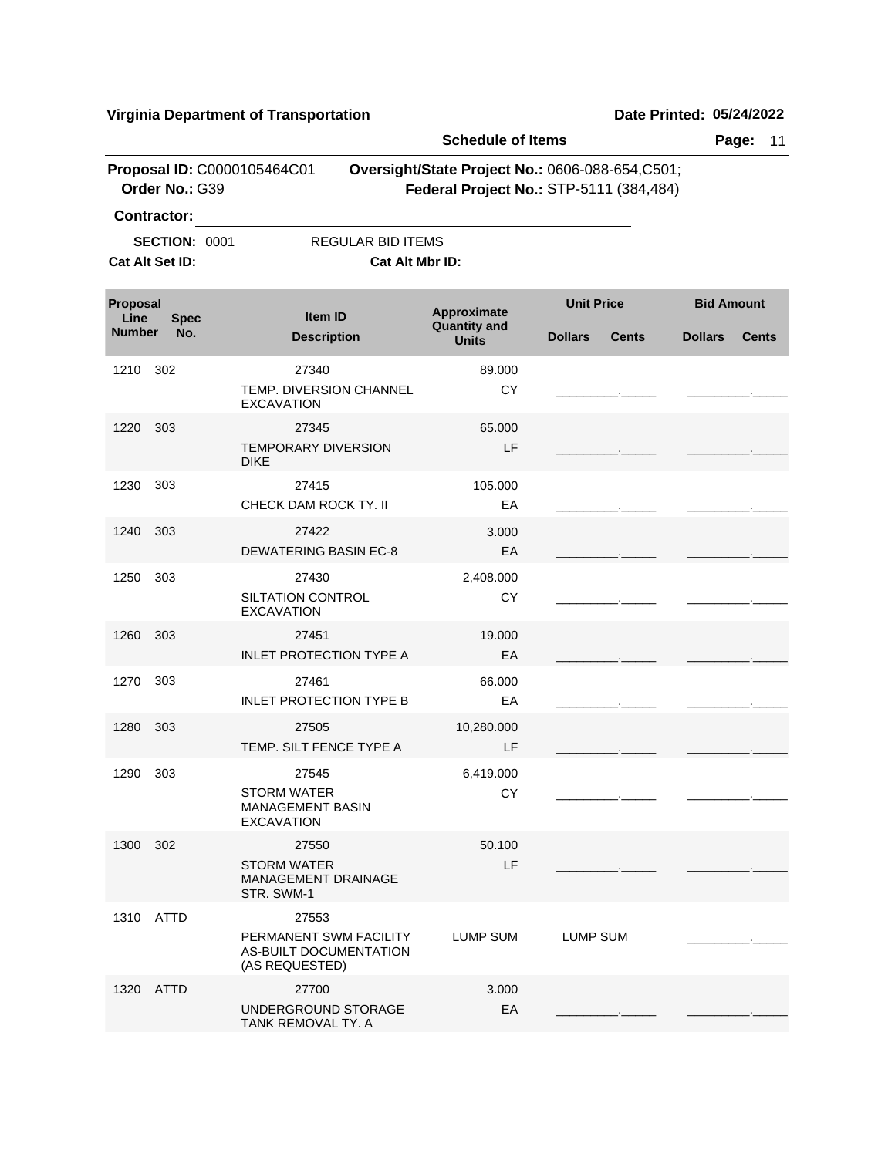|                  |                                               |                                                                             | <b>Schedule of Items</b>                                                                    |                   |              |                   | Page:<br>11  |
|------------------|-----------------------------------------------|-----------------------------------------------------------------------------|---------------------------------------------------------------------------------------------|-------------------|--------------|-------------------|--------------|
|                  | Proposal ID: C0000105464C01<br>Order No.: G39 |                                                                             | Oversight/State Project No.: 0606-088-654, C501;<br>Federal Project No.: STP-5111 (384,484) |                   |              |                   |              |
|                  | <b>Contractor:</b>                            |                                                                             |                                                                                             |                   |              |                   |              |
|                  | <b>SECTION: 0001</b>                          | <b>REGULAR BID ITEMS</b>                                                    |                                                                                             |                   |              |                   |              |
|                  | Cat Alt Set ID:                               | Cat Alt Mbr ID:                                                             |                                                                                             |                   |              |                   |              |
| Proposal<br>Line | <b>Spec</b>                                   | <b>Item ID</b>                                                              | Approximate                                                                                 | <b>Unit Price</b> |              | <b>Bid Amount</b> |              |
| <b>Number</b>    | No.                                           | <b>Description</b>                                                          | <b>Quantity and</b><br><b>Units</b>                                                         | <b>Dollars</b>    | <b>Cents</b> | <b>Dollars</b>    | <b>Cents</b> |
| 1210             | 302                                           | 27340                                                                       | 89.000                                                                                      |                   |              |                   |              |
|                  |                                               | <b>TEMP. DIVERSION CHANNEL</b><br><b>EXCAVATION</b>                         | СY                                                                                          |                   |              |                   |              |
| 1220             | 303                                           | 27345                                                                       | 65,000                                                                                      |                   |              |                   |              |
|                  |                                               | <b>TEMPORARY DIVERSION</b><br><b>DIKE</b>                                   | LF                                                                                          |                   |              |                   |              |
| 1230             | 303                                           | 27415                                                                       | 105.000                                                                                     |                   |              |                   |              |
|                  |                                               | CHECK DAM ROCK TY. II                                                       | EA                                                                                          |                   |              |                   |              |
| 1240             | 303                                           | 27422                                                                       | 3.000                                                                                       |                   |              |                   |              |
|                  |                                               | <b>DEWATERING BASIN EC-8</b>                                                | EA                                                                                          |                   |              |                   |              |
| 1250             | 303                                           | 27430<br>SILTATION CONTROL<br><b>EXCAVATION</b>                             | 2,408.000<br>CY                                                                             |                   |              |                   |              |
| 1260             | 303                                           | 27451<br><b>INLET PROTECTION TYPE A</b>                                     | 19.000<br>EA                                                                                |                   |              |                   |              |
| 1270             | 303                                           | 27461<br><b>INLET PROTECTION TYPE B</b>                                     | 66.000<br>EA                                                                                |                   |              |                   |              |
| 1280             | 303                                           | 27505<br>TEMP. SILT FENCE TYPE A                                            | 10,280.000<br>LF                                                                            |                   |              |                   |              |
| 1290             | 303                                           | 27545<br><b>STORM WATER</b><br><b>MANAGEMENT BASIN</b><br><b>EXCAVATION</b> | 6,419.000<br><b>CY</b>                                                                      |                   |              |                   |              |
| 1300 302         |                                               | 27550<br><b>STORM WATER</b><br><b>MANAGEMENT DRAINAGE</b><br>STR. SWM-1     | 50.100<br>LF.                                                                               |                   |              |                   |              |
|                  | 1310 ATTD                                     | 27553<br>PERMANENT SWM FACILITY<br>AS-BUILT DOCUMENTATION<br>(AS REQUESTED) | LUMP SUM                                                                                    | <b>LUMP SUM</b>   |              |                   |              |
|                  | 1320 ATTD                                     | 27700<br>UNDERGROUND STORAGE<br>TANK REMOVAL TY. A                          | 3.000<br>EA                                                                                 |                   |              |                   |              |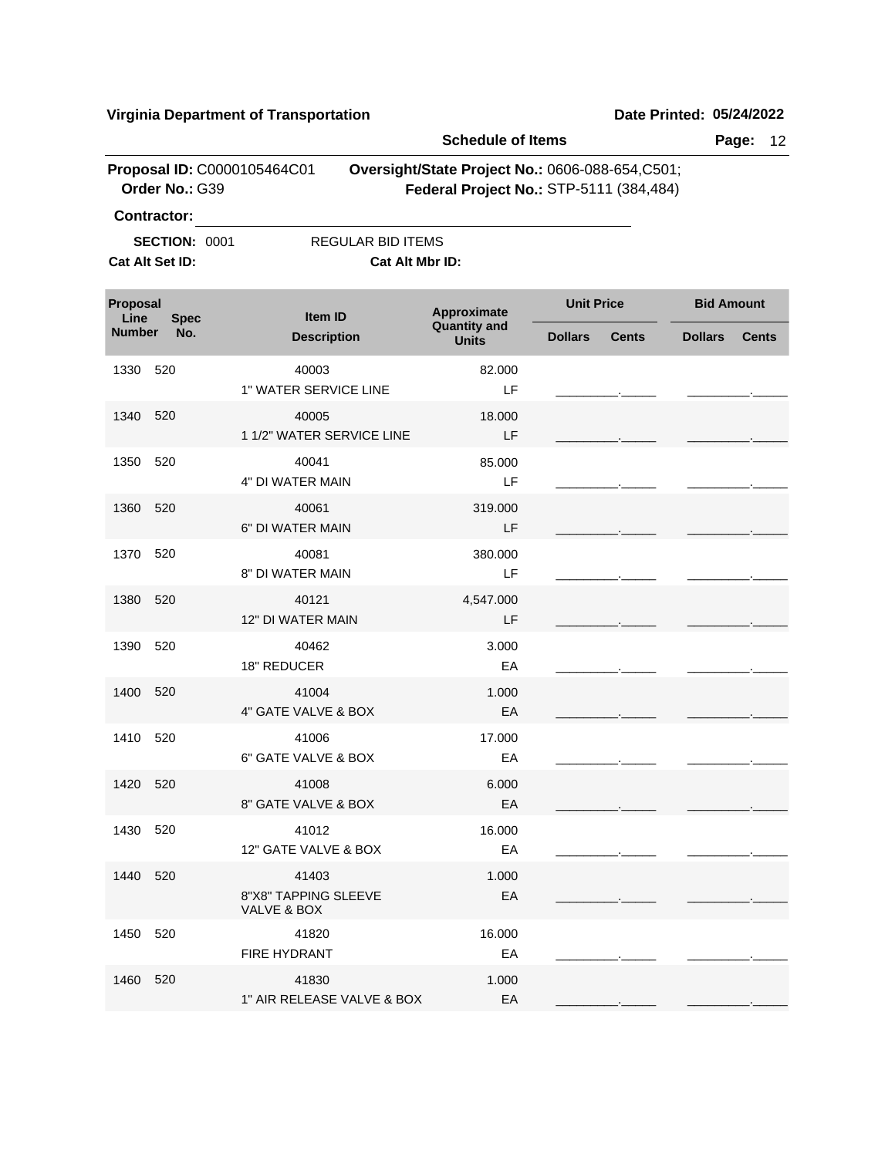|                  |                                               |                                              | <b>Schedule of Items</b>                                                                   |                   |              |                   | Page:<br>12  |
|------------------|-----------------------------------------------|----------------------------------------------|--------------------------------------------------------------------------------------------|-------------------|--------------|-------------------|--------------|
|                  | Proposal ID: C0000105464C01<br>Order No.: G39 |                                              | Oversight/State Project No.: 0606-088-654,C501;<br>Federal Project No.: STP-5111 (384,484) |                   |              |                   |              |
|                  | <b>Contractor:</b>                            |                                              |                                                                                            |                   |              |                   |              |
|                  | <b>SECTION: 0001</b>                          | <b>REGULAR BID ITEMS</b>                     |                                                                                            |                   |              |                   |              |
|                  | Cat Alt Set ID:                               | Cat Alt Mbr ID:                              |                                                                                            |                   |              |                   |              |
| Proposal<br>Line | <b>Spec</b>                                   | Item ID                                      | Approximate                                                                                | <b>Unit Price</b> |              | <b>Bid Amount</b> |              |
| <b>Number</b>    | No.                                           | <b>Description</b>                           | <b>Quantity and</b><br><b>Units</b>                                                        | <b>Dollars</b>    | <b>Cents</b> | <b>Dollars</b>    | <b>Cents</b> |
| 1330             | 520                                           | 40003<br>1" WATER SERVICE LINE               | 82.000<br>LF.                                                                              |                   |              |                   |              |
| 1340             | 520                                           | 40005<br>1 1/2" WATER SERVICE LINE           | 18.000<br>LF                                                                               |                   |              |                   |              |
| 1350             | 520                                           | 40041<br>4" DI WATER MAIN                    | 85.000<br>LF                                                                               |                   |              |                   |              |
| 1360             | 520                                           | 40061<br>6" DI WATER MAIN                    | 319.000<br>LF                                                                              |                   |              |                   |              |
| 1370             | 520                                           | 40081<br>8" DI WATER MAIN                    | 380.000<br>LF                                                                              |                   |              |                   |              |
| 1380             | 520                                           | 40121<br>12" DI WATER MAIN                   | 4,547.000<br>LF                                                                            |                   |              |                   |              |
| 1390             | 520                                           | 40462<br>18" REDUCER                         | 3.000<br>EA                                                                                |                   |              |                   |              |
| 1400             | 520                                           | 41004<br>4" GATE VALVE & BOX                 | 1.000<br>EA                                                                                |                   |              |                   |              |
| 1410             | 520                                           | 41006<br>6" GATE VALVE & BOX                 | 17.000<br>EA                                                                               |                   |              |                   |              |
| 1420 520         |                                               | 41008<br>8" GATE VALVE & BOX                 | 6.000<br>EA                                                                                |                   |              |                   |              |
| 1430 520         |                                               | 41012<br>12" GATE VALVE & BOX                | 16.000<br>EA                                                                               |                   |              |                   |              |
| 1440             | 520                                           | 41403<br>8"X8" TAPPING SLEEVE<br>VALVE & BOX | 1.000<br>EA                                                                                |                   |              |                   |              |
| 1450             | 520                                           | 41820<br><b>FIRE HYDRANT</b>                 | 16.000<br>EA                                                                               |                   |              |                   |              |
| 1460 520         |                                               | 41830<br>1" AIR RELEASE VALVE & BOX          | 1.000<br>EA                                                                                |                   |              |                   |              |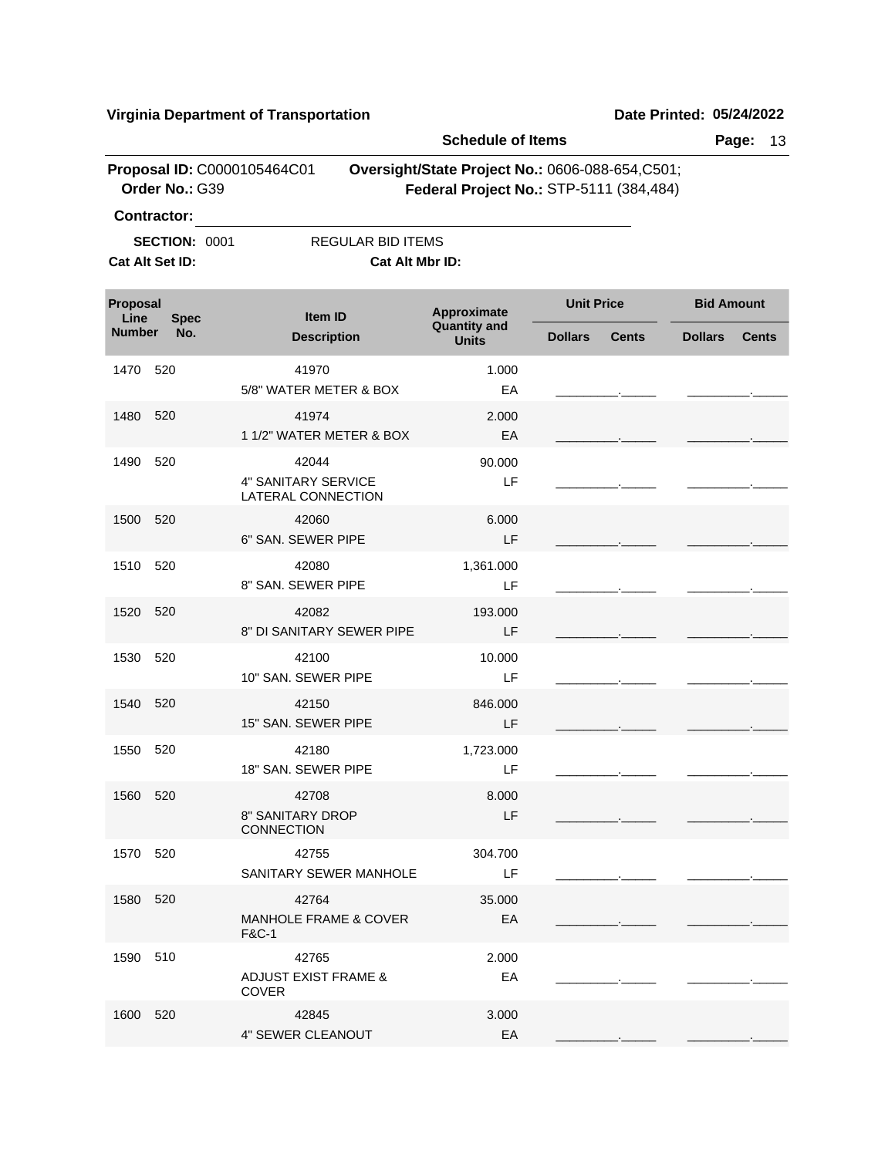|                  |                                               |                                                               | <b>Schedule of Items</b>                                                                   |                   |              |                   | Page:<br>13  |
|------------------|-----------------------------------------------|---------------------------------------------------------------|--------------------------------------------------------------------------------------------|-------------------|--------------|-------------------|--------------|
|                  | Proposal ID: C0000105464C01<br>Order No.: G39 |                                                               | Oversight/State Project No.: 0606-088-654,C501;<br>Federal Project No.: STP-5111 (384,484) |                   |              |                   |              |
|                  | <b>Contractor:</b>                            |                                                               |                                                                                            |                   |              |                   |              |
|                  | <b>SECTION: 0001</b>                          | <b>REGULAR BID ITEMS</b>                                      |                                                                                            |                   |              |                   |              |
|                  | Cat Alt Set ID:                               | Cat Alt Mbr ID:                                               |                                                                                            |                   |              |                   |              |
| Proposal<br>Line | <b>Spec</b>                                   | Item ID                                                       | Approximate                                                                                | <b>Unit Price</b> |              | <b>Bid Amount</b> |              |
| <b>Number</b>    | No.                                           | <b>Description</b>                                            | <b>Quantity and</b><br><b>Units</b>                                                        | <b>Dollars</b>    | <b>Cents</b> | <b>Dollars</b>    | <b>Cents</b> |
| 1470             | 520                                           | 41970<br>5/8" WATER METER & BOX                               | 1.000<br>EA                                                                                |                   |              |                   |              |
| 1480             | 520                                           | 41974<br>1 1/2" WATER METER & BOX                             | 2.000<br>EA                                                                                |                   |              |                   |              |
| 1490             | 520                                           | 42044<br>4" SANITARY SERVICE<br>LATERAL CONNECTION            | 90.000<br>LF                                                                               |                   |              |                   |              |
| 1500             | 520                                           | 42060<br>6" SAN. SEWER PIPE                                   | 6.000<br>LF                                                                                |                   |              |                   |              |
| 1510             | 520                                           | 42080<br>8" SAN, SEWER PIPE                                   | 1,361.000<br>LF                                                                            |                   |              |                   |              |
| 1520             | 520                                           | 42082<br>8" DI SANITARY SEWER PIPE                            | 193.000<br>LF                                                                              |                   |              |                   |              |
| 1530             | 520                                           | 42100<br>10" SAN, SEWER PIPE                                  | 10.000<br>LF                                                                               |                   |              |                   |              |
| 1540             | 520                                           | 42150<br>15" SAN. SEWER PIPE                                  | 846.000<br>LF                                                                              |                   |              |                   |              |
| 1550             | 520                                           | 42180<br>18" SAN, SEWER PIPE                                  | 1,723.000<br>LF                                                                            |                   |              |                   |              |
| 1560 520         |                                               | 42708<br>8" SANITARY DROP<br><b>CONNECTION</b>                | 8.000<br>LF.                                                                               |                   |              |                   |              |
| 1570 520         |                                               | 42755<br>SANITARY SEWER MANHOLE                               | 304.700<br>LF                                                                              |                   |              |                   |              |
| 1580 520         |                                               | 42764<br><b>MANHOLE FRAME &amp; COVER</b><br><b>F&amp;C-1</b> | 35.000<br>EA                                                                               |                   |              |                   |              |
| 1590 510         |                                               | 42765<br><b>ADJUST EXIST FRAME &amp;</b><br><b>COVER</b>      | 2.000<br>EA                                                                                |                   |              |                   |              |
| 1600 520         |                                               | 42845<br>4" SEWER CLEANOUT                                    | 3.000<br>EA                                                                                |                   |              |                   |              |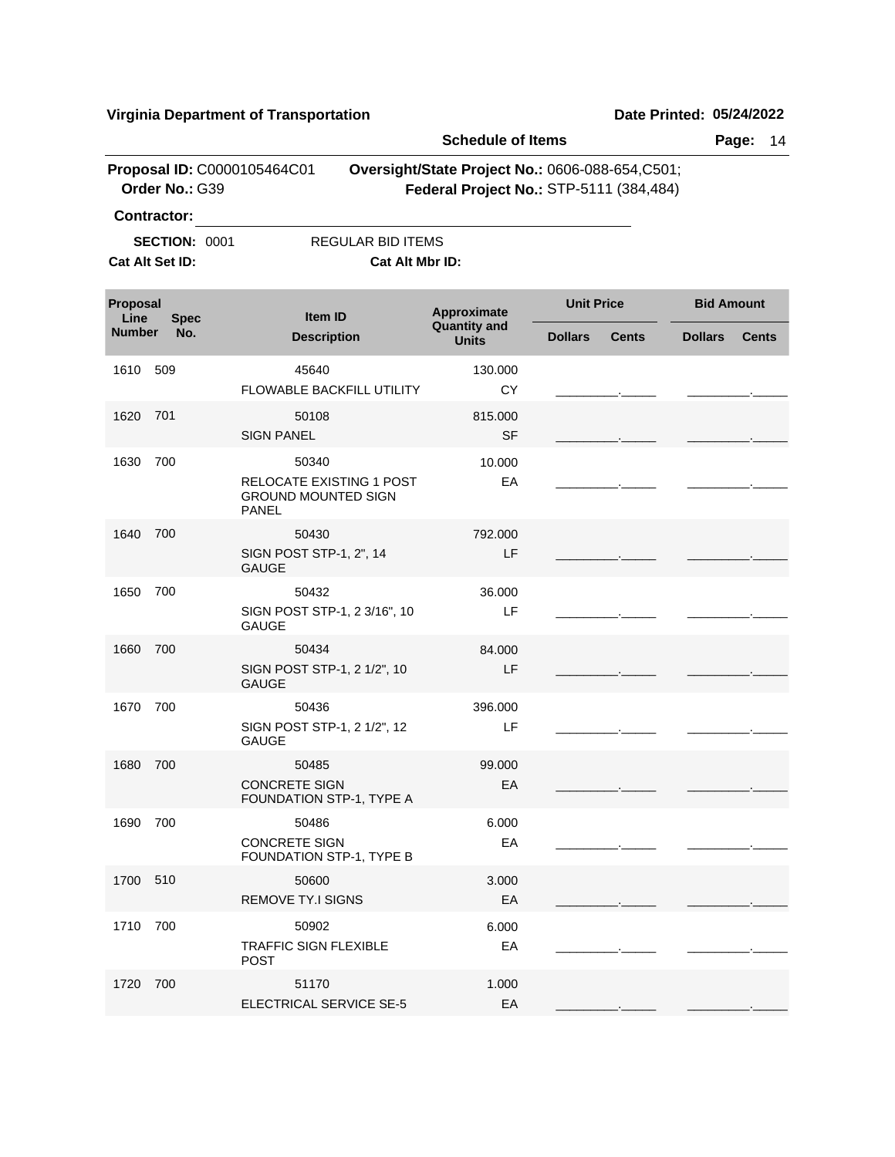|                  |                                               |                                                                        | <b>Schedule of Items</b>                                                                   |                   |              |                | Page:<br>14       |
|------------------|-----------------------------------------------|------------------------------------------------------------------------|--------------------------------------------------------------------------------------------|-------------------|--------------|----------------|-------------------|
|                  | Proposal ID: C0000105464C01<br>Order No.: G39 |                                                                        | Oversight/State Project No.: 0606-088-654,C501;<br>Federal Project No.: STP-5111 (384,484) |                   |              |                |                   |
|                  | <b>Contractor:</b>                            |                                                                        |                                                                                            |                   |              |                |                   |
|                  | <b>SECTION: 0001</b>                          | <b>REGULAR BID ITEMS</b>                                               |                                                                                            |                   |              |                |                   |
|                  | Cat Alt Set ID:                               | Cat Alt Mbr ID:                                                        |                                                                                            |                   |              |                |                   |
| Proposal<br>Line | <b>Spec</b>                                   | Item ID                                                                | Approximate<br><b>Quantity and</b>                                                         | <b>Unit Price</b> |              |                | <b>Bid Amount</b> |
| <b>Number</b>    | No.                                           | <b>Description</b>                                                     | <b>Units</b>                                                                               | <b>Dollars</b>    | <b>Cents</b> | <b>Dollars</b> | <b>Cents</b>      |
| 1610             | 509                                           | 45640                                                                  | 130.000                                                                                    |                   |              |                |                   |
|                  |                                               | FLOWABLE BACKFILL UTILITY                                              | <b>CY</b>                                                                                  |                   |              |                |                   |
| 1620             | 701                                           | 50108                                                                  | 815.000                                                                                    |                   |              |                |                   |
|                  |                                               | <b>SIGN PANEL</b>                                                      | <b>SF</b>                                                                                  |                   |              |                |                   |
| 1630             | 700                                           | 50340                                                                  | 10.000                                                                                     |                   |              |                |                   |
|                  |                                               | RELOCATE EXISTING 1 POST<br><b>GROUND MOUNTED SIGN</b><br><b>PANEL</b> | EA                                                                                         |                   |              |                |                   |
| 1640             | 700                                           | 50430                                                                  | 792.000                                                                                    |                   |              |                |                   |
|                  |                                               | SIGN POST STP-1, 2", 14<br><b>GAUGE</b>                                | LF                                                                                         |                   |              |                |                   |
| 1650             | 700                                           | 50432                                                                  | 36.000                                                                                     |                   |              |                |                   |
|                  |                                               | SIGN POST STP-1, 2 3/16", 10<br><b>GAUGE</b>                           | LF                                                                                         |                   |              |                |                   |
| 1660             | 700                                           | 50434                                                                  | 84.000                                                                                     |                   |              |                |                   |
|                  |                                               | SIGN POST STP-1, 2 1/2", 10<br><b>GAUGE</b>                            | LF                                                                                         |                   |              |                |                   |
| 1670             | 700                                           | 50436                                                                  | 396.000                                                                                    |                   |              |                |                   |
|                  |                                               | SIGN POST STP-1, 2 1/2", 12<br><b>GAUGE</b>                            | LF                                                                                         |                   |              |                |                   |
| 1680             | 700                                           | 50485                                                                  | 99.000                                                                                     |                   |              |                |                   |
|                  |                                               | <b>CONCRETE SIGN</b><br>FOUNDATION STP-1, TYPE A                       | EA                                                                                         |                   |              |                |                   |
| 1690             | 700                                           | 50486                                                                  | 6.000                                                                                      |                   |              |                |                   |
|                  |                                               | <b>CONCRETE SIGN</b><br>FOUNDATION STP-1, TYPE B                       | EA                                                                                         |                   |              |                |                   |
| 1700 510         |                                               | 50600                                                                  | 3.000                                                                                      |                   |              |                |                   |
|                  |                                               | <b>REMOVE TY.I SIGNS</b>                                               | EA                                                                                         |                   |              |                |                   |
| 1710             | 700                                           | 50902                                                                  | 6.000                                                                                      |                   |              |                |                   |
|                  |                                               | <b>TRAFFIC SIGN FLEXIBLE</b><br><b>POST</b>                            | EA                                                                                         |                   |              |                |                   |
| 1720             | 700                                           | 51170                                                                  | 1.000                                                                                      |                   |              |                |                   |
|                  |                                               | ELECTRICAL SERVICE SE-5                                                | EA                                                                                         |                   |              |                |                   |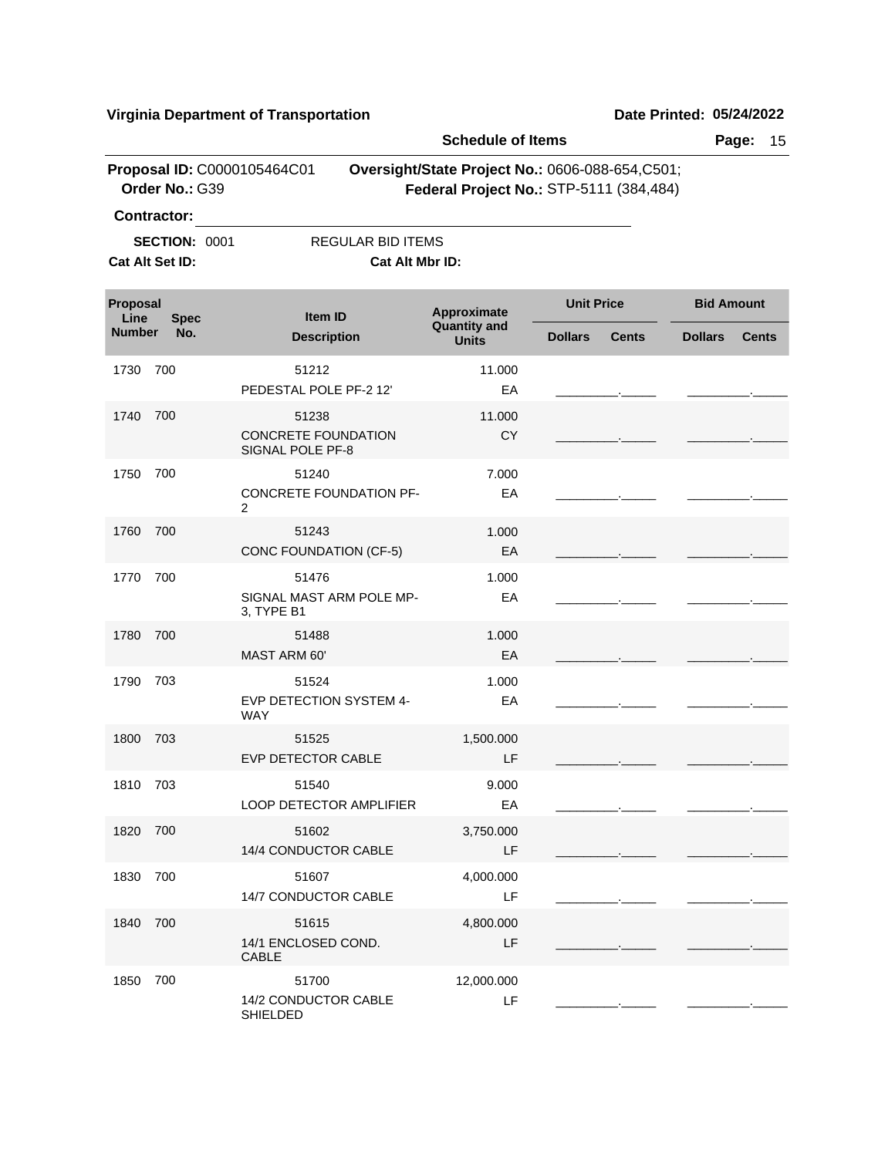|                  |                                               |                                                | <b>Schedule of Items</b>                                                                   |                   |              |                   | Page:<br>15  |
|------------------|-----------------------------------------------|------------------------------------------------|--------------------------------------------------------------------------------------------|-------------------|--------------|-------------------|--------------|
|                  | Proposal ID: C0000105464C01<br>Order No.: G39 |                                                | Oversight/State Project No.: 0606-088-654,C501;<br>Federal Project No.: STP-5111 (384,484) |                   |              |                   |              |
|                  | <b>Contractor:</b>                            |                                                |                                                                                            |                   |              |                   |              |
|                  | <b>SECTION: 0001</b>                          | <b>REGULAR BID ITEMS</b>                       |                                                                                            |                   |              |                   |              |
|                  | Cat Alt Set ID:                               | Cat Alt Mbr ID:                                |                                                                                            |                   |              |                   |              |
| Proposal<br>Line | <b>Spec</b>                                   | Item ID                                        | Approximate<br><b>Quantity and</b>                                                         | <b>Unit Price</b> |              | <b>Bid Amount</b> |              |
| <b>Number</b>    | No.                                           | <b>Description</b>                             | <b>Units</b>                                                                               | <b>Dollars</b>    | <b>Cents</b> | <b>Dollars</b>    | <b>Cents</b> |
| 1730             | 700                                           | 51212                                          | 11.000                                                                                     |                   |              |                   |              |
|                  |                                               | PEDESTAL POLE PF-2 12'                         | EA                                                                                         |                   |              |                   |              |
| 1740             | 700                                           | 51238                                          | 11.000                                                                                     |                   |              |                   |              |
|                  |                                               | CONCRETE FOUNDATION<br><b>SIGNAL POLE PF-8</b> | <b>CY</b>                                                                                  |                   |              |                   |              |
| 1750             | 700                                           | 51240                                          | 7.000                                                                                      |                   |              |                   |              |
|                  |                                               | CONCRETE FOUNDATION PF-<br>$\overline{2}$      | EA                                                                                         |                   |              |                   |              |
| 1760             | 700                                           | 51243                                          | 1.000                                                                                      |                   |              |                   |              |
|                  |                                               | CONC FOUNDATION (CF-5)                         | EA                                                                                         |                   |              |                   |              |
| 1770             | 700                                           | 51476                                          | 1.000                                                                                      |                   |              |                   |              |
|                  |                                               | SIGNAL MAST ARM POLE MP-<br>3, TYPE B1         | EA                                                                                         |                   |              |                   |              |
| 1780             | 700                                           | 51488                                          | 1.000                                                                                      |                   |              |                   |              |
|                  |                                               | MAST ARM 60'                                   | EA                                                                                         |                   |              |                   |              |
| 1790             | 703                                           | 51524                                          | 1.000                                                                                      |                   |              |                   |              |
|                  |                                               | EVP DETECTION SYSTEM 4-<br><b>WAY</b>          | EA                                                                                         |                   |              |                   |              |
| 1800             | 703                                           | 51525                                          | 1,500.000                                                                                  |                   |              |                   |              |
|                  |                                               | EVP DETECTOR CABLE                             | LF                                                                                         |                   |              |                   |              |
| 1810 703         |                                               | 51540<br><b>LOOP DETECTOR AMPLIFIER</b>        | 9.000<br>EA                                                                                |                   |              |                   |              |
| 1820 700         |                                               | 51602                                          |                                                                                            |                   |              |                   |              |
|                  |                                               | 14/4 CONDUCTOR CABLE                           | 3,750.000<br>LF                                                                            |                   |              |                   |              |
| 1830             | 700                                           | 51607                                          | 4,000.000                                                                                  |                   |              |                   |              |
|                  |                                               | 14/7 CONDUCTOR CABLE                           | LF                                                                                         |                   |              |                   |              |
| 1840             | 700                                           | 51615<br>14/1 ENCLOSED COND.<br><b>CABLE</b>   | 4,800.000<br>LF                                                                            |                   |              |                   |              |
| 1850             | 700                                           | 51700                                          | 12,000.000                                                                                 |                   |              |                   |              |
|                  |                                               | 14/2 CONDUCTOR CABLE<br><b>SHIELDED</b>        | LF                                                                                         |                   |              |                   |              |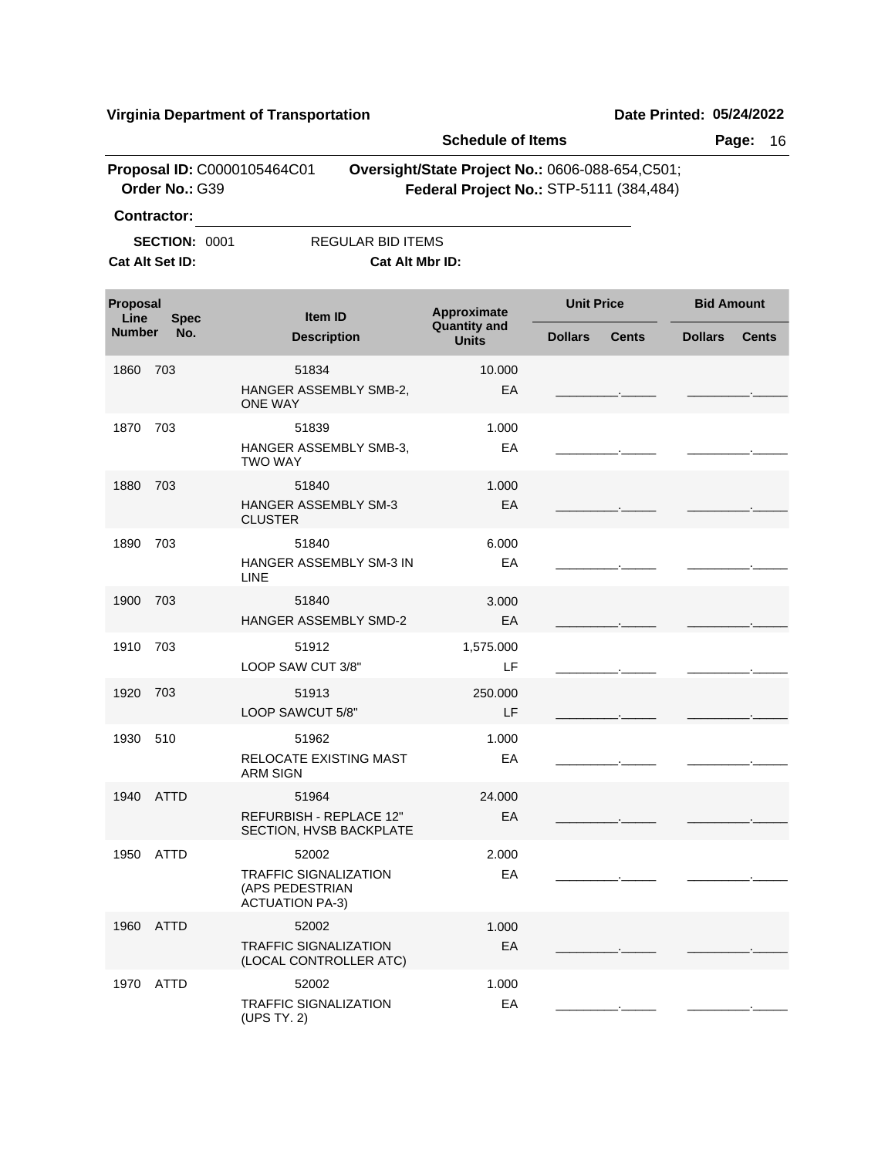1970 52002 ATTD

TRAFFIC SIGNALIZATION

(UPS TY. 2)

|                       |                      |                                                                           | <b>Schedule of Items</b>                                                                   |                   |              |                   | Page:<br>16  |
|-----------------------|----------------------|---------------------------------------------------------------------------|--------------------------------------------------------------------------------------------|-------------------|--------------|-------------------|--------------|
|                       | Order No.: G39       | Proposal ID: C0000105464C01                                               | Oversight/State Project No.: 0606-088-654,C501;<br>Federal Project No.: STP-5111 (384,484) |                   |              |                   |              |
|                       | <b>Contractor:</b>   |                                                                           |                                                                                            |                   |              |                   |              |
|                       | <b>SECTION: 0001</b> | <b>REGULAR BID ITEMS</b>                                                  |                                                                                            |                   |              |                   |              |
|                       | Cat Alt Set ID:      |                                                                           | Cat Alt Mbr ID:                                                                            |                   |              |                   |              |
| Proposal              |                      | Item ID                                                                   | Approximate                                                                                | <b>Unit Price</b> |              | <b>Bid Amount</b> |              |
| Line<br><b>Number</b> | <b>Spec</b><br>No.   | <b>Description</b>                                                        | <b>Quantity and</b><br><b>Units</b>                                                        | <b>Dollars</b>    | <b>Cents</b> | <b>Dollars</b>    | <b>Cents</b> |
| 1860                  | 703                  | 51834                                                                     | 10.000                                                                                     |                   |              |                   |              |
|                       |                      | HANGER ASSEMBLY SMB-2,<br><b>ONE WAY</b>                                  | EA                                                                                         |                   |              |                   |              |
| 1870                  | 703                  | 51839                                                                     | 1.000                                                                                      |                   |              |                   |              |
|                       |                      | HANGER ASSEMBLY SMB-3,<br><b>TWO WAY</b>                                  | EA                                                                                         |                   |              |                   |              |
| 1880                  | 703                  | 51840                                                                     | 1.000                                                                                      |                   |              |                   |              |
|                       |                      | HANGER ASSEMBLY SM-3<br><b>CLUSTER</b>                                    | EA                                                                                         |                   |              |                   |              |
| 1890                  | 703                  | 51840                                                                     | 6.000                                                                                      |                   |              |                   |              |
|                       |                      | HANGER ASSEMBLY SM-3 IN<br><b>LINE</b>                                    | EA                                                                                         |                   |              |                   |              |
| 1900                  | 703                  | 51840<br><b>HANGER ASSEMBLY SMD-2</b>                                     | 3.000<br>EA                                                                                |                   |              |                   |              |
| 1910                  | 703                  | 51912                                                                     | 1,575.000                                                                                  |                   |              |                   |              |
|                       |                      | LOOP SAW CUT 3/8"                                                         | LF                                                                                         |                   |              |                   |              |
| 1920                  | 703                  | 51913                                                                     | 250,000                                                                                    |                   |              |                   |              |
|                       |                      | LOOP SAWCUT 5/8"                                                          | LF                                                                                         |                   |              |                   |              |
| 1930                  | 510                  | 51962                                                                     | 1.000                                                                                      |                   |              |                   |              |
|                       |                      | RELOCATE EXISTING MAST<br><b>ARM SIGN</b>                                 | EA                                                                                         |                   |              |                   |              |
| 1940 ATTD             |                      | 51964                                                                     | 24.000                                                                                     |                   |              |                   |              |
|                       |                      | REFURBISH - REPLACE 12"<br>SECTION, HVSB BACKPLATE                        | EA                                                                                         |                   |              |                   |              |
| 1950                  | <b>ATTD</b>          | 52002                                                                     | 2.000                                                                                      |                   |              |                   |              |
|                       |                      | <b>TRAFFIC SIGNALIZATION</b><br>(APS PEDESTRIAN<br><b>ACTUATION PA-3)</b> | EA                                                                                         |                   |              |                   |              |
| 1960                  | <b>ATTD</b>          | 52002                                                                     | 1.000                                                                                      |                   |              |                   |              |
|                       |                      | <b>TRAFFIC SIGNALIZATION</b><br>(LOCAL CONTROLLER ATC)                    | EA                                                                                         |                   |              |                   |              |
| 1970 ATTD             |                      | 52002                                                                     | 1.000                                                                                      |                   |              |                   |              |

EA

\_\_\_\_\_\_\_\_\_.\_\_\_\_\_ \_\_\_\_\_\_\_\_\_.\_\_\_\_\_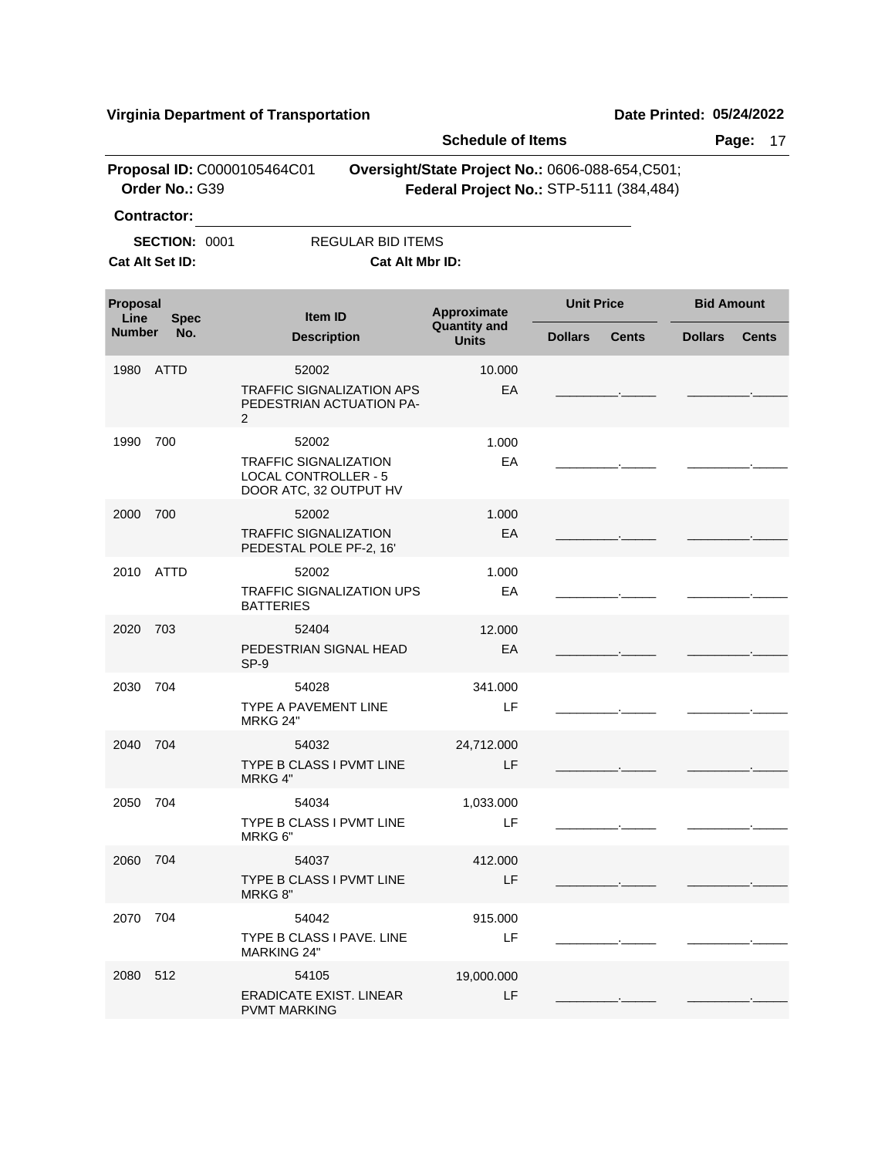|                  |                      |                                                                                       |                                                              | <b>Schedule of Items</b>                                                                    |                   |              |                   | Page:<br>17  |
|------------------|----------------------|---------------------------------------------------------------------------------------|--------------------------------------------------------------|---------------------------------------------------------------------------------------------|-------------------|--------------|-------------------|--------------|
|                  | Order No.: G39       | Proposal ID: C0000105464C01                                                           |                                                              | Oversight/State Project No.: 0606-088-654, C501;<br>Federal Project No.: STP-5111 (384,484) |                   |              |                   |              |
|                  | <b>Contractor:</b>   |                                                                                       |                                                              |                                                                                             |                   |              |                   |              |
|                  | <b>SECTION: 0001</b> |                                                                                       | <b>REGULAR BID ITEMS</b>                                     |                                                                                             |                   |              |                   |              |
|                  | Cat Alt Set ID:      |                                                                                       | Cat Alt Mbr ID:                                              |                                                                                             |                   |              |                   |              |
| Proposal<br>Line | <b>Spec</b>          | Item ID                                                                               |                                                              | Approximate                                                                                 | <b>Unit Price</b> |              | <b>Bid Amount</b> |              |
| <b>Number</b>    | No.                  | <b>Description</b>                                                                    |                                                              | <b>Quantity and</b><br><b>Units</b>                                                         | <b>Dollars</b>    | <b>Cents</b> | <b>Dollars</b>    | <b>Cents</b> |
| 1980             | ATTD                 | 52002                                                                                 |                                                              | 10.000                                                                                      |                   |              |                   |              |
|                  |                      | 2                                                                                     | <b>TRAFFIC SIGNALIZATION APS</b><br>PEDESTRIAN ACTUATION PA- | EA                                                                                          |                   |              |                   |              |
| 1990             | 700                  | 52002                                                                                 |                                                              | 1.000                                                                                       |                   |              |                   |              |
|                  |                      | <b>TRAFFIC SIGNALIZATION</b><br><b>LOCAL CONTROLLER - 5</b><br>DOOR ATC, 32 OUTPUT HV |                                                              | EA                                                                                          |                   |              |                   |              |
| 2000             | 700                  | 52002                                                                                 |                                                              | 1.000                                                                                       |                   |              |                   |              |
|                  |                      | <b>TRAFFIC SIGNALIZATION</b><br>PEDESTAL POLE PF-2, 16'                               |                                                              | EA                                                                                          |                   |              |                   |              |
| 2010             | ATTD                 | 52002                                                                                 |                                                              | 1.000                                                                                       |                   |              |                   |              |
|                  |                      | <b>BATTERIES</b>                                                                      | <b>TRAFFIC SIGNALIZATION UPS</b>                             | EA                                                                                          |                   |              |                   |              |
| 2020             | 703                  | 52404<br>PEDESTRIAN SIGNAL HEAD<br>SP-9                                               |                                                              | 12.000<br>EA                                                                                |                   |              |                   |              |
| 2030             | 704                  | 54028                                                                                 |                                                              | 341.000                                                                                     |                   |              |                   |              |
|                  |                      | TYPE A PAVEMENT LINE<br><b>MRKG 24"</b>                                               |                                                              | LF                                                                                          |                   |              |                   |              |
| 2040             | 704                  | 54032                                                                                 |                                                              | 24,712.000                                                                                  |                   |              |                   |              |
|                  |                      | TYPE B CLASS I PVMT LINE<br>MRKG 4"                                                   |                                                              | LF                                                                                          |                   |              |                   |              |
| 2050 704         |                      | 54034                                                                                 |                                                              | 1,033.000                                                                                   |                   |              |                   |              |
|                  |                      | TYPE B CLASS I PVMT LINE<br>MRKG 6"                                                   |                                                              | LF                                                                                          |                   |              |                   |              |
| 2060 704         |                      | 54037                                                                                 |                                                              | 412.000                                                                                     |                   |              |                   |              |
|                  |                      | TYPE B CLASS I PVMT LINE<br>MRKG 8"                                                   |                                                              | LF                                                                                          |                   |              |                   |              |
| 2070 704         |                      | 54042                                                                                 |                                                              | 915.000                                                                                     |                   |              |                   |              |
|                  |                      | TYPE B CLASS I PAVE. LINE<br><b>MARKING 24"</b>                                       |                                                              | LF                                                                                          |                   |              |                   |              |
| 2080 512         |                      | 54105                                                                                 |                                                              | 19,000.000                                                                                  |                   |              |                   |              |
|                  |                      | <b>ERADICATE EXIST. LINEAR</b><br><b>PVMT MARKING</b>                                 |                                                              | LF                                                                                          |                   |              |                   |              |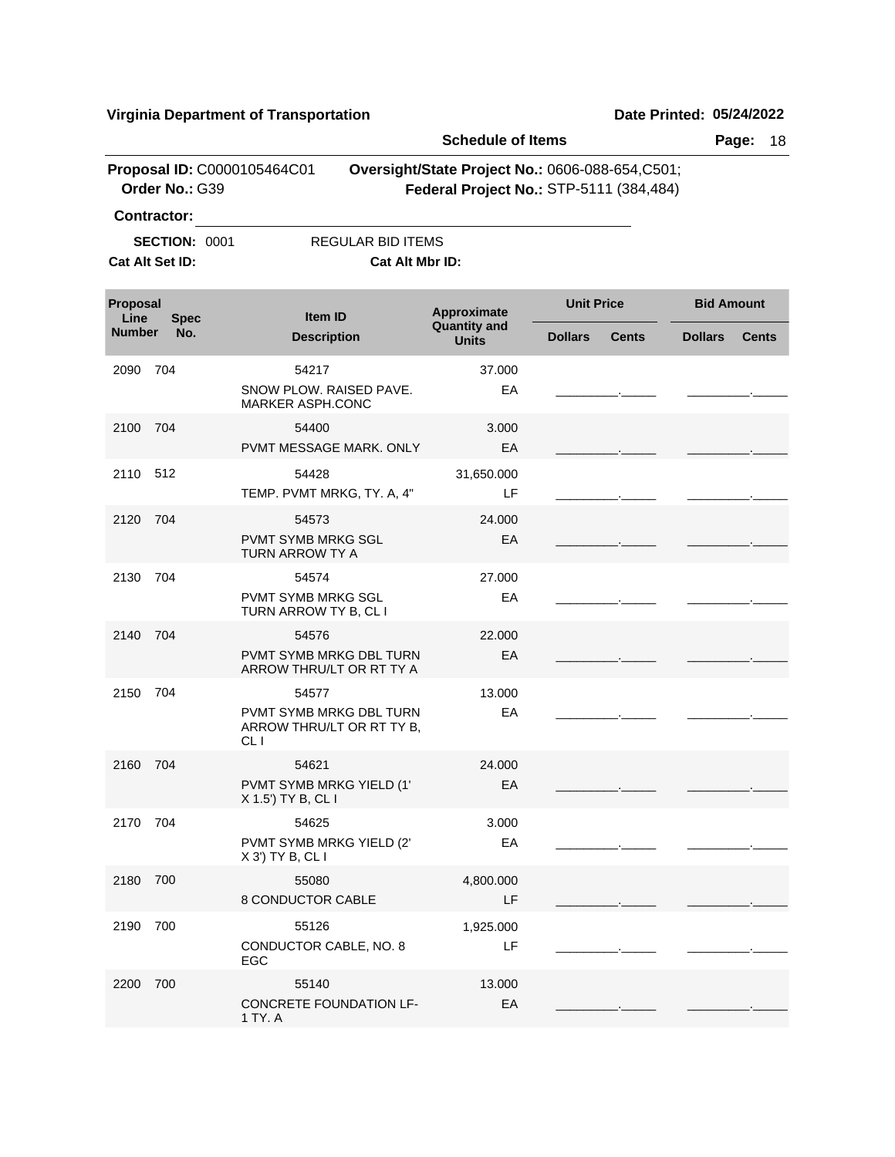|                  |                                               |                                                                                  | <b>Schedule of Items</b>                                                                   |                   |              |                   | 18<br>Page:  |
|------------------|-----------------------------------------------|----------------------------------------------------------------------------------|--------------------------------------------------------------------------------------------|-------------------|--------------|-------------------|--------------|
|                  | Proposal ID: C0000105464C01<br>Order No.: G39 |                                                                                  | Oversight/State Project No.: 0606-088-654,C501;<br>Federal Project No.: STP-5111 (384,484) |                   |              |                   |              |
|                  | <b>Contractor:</b>                            |                                                                                  |                                                                                            |                   |              |                   |              |
|                  | <b>SECTION: 0001</b>                          | <b>REGULAR BID ITEMS</b>                                                         |                                                                                            |                   |              |                   |              |
|                  | Cat Alt Set ID:                               | Cat Alt Mbr ID:                                                                  |                                                                                            |                   |              |                   |              |
| Proposal<br>Line | <b>Spec</b>                                   | <b>Item ID</b>                                                                   | Approximate<br><b>Quantity and</b>                                                         | <b>Unit Price</b> |              | <b>Bid Amount</b> |              |
| <b>Number</b>    | No.                                           | <b>Description</b>                                                               | <b>Units</b>                                                                               | <b>Dollars</b>    | <b>Cents</b> | <b>Dollars</b>    | <b>Cents</b> |
| 2090             | 704                                           | 54217<br>SNOW PLOW, RAISED PAVE.<br><b>MARKER ASPH.CONC</b>                      | 37.000<br>EA                                                                               |                   |              |                   |              |
| 2100             | 704                                           | 54400<br>PVMT MESSAGE MARK. ONLY                                                 | 3.000<br>EA                                                                                |                   |              |                   |              |
| 2110 512         |                                               | 54428<br>TEMP. PVMT MRKG, TY. A, 4"                                              | 31,650.000<br>LF                                                                           |                   |              |                   |              |
| 2120             | 704                                           | 54573<br>PVMT SYMB MRKG SGL<br>TURN ARROW TY A                                   | 24.000<br>EA                                                                               |                   |              |                   |              |
| 2130             | 704                                           | 54574<br>PVMT SYMB MRKG SGL<br>TURN ARROW TY B, CL I                             | 27,000<br>EA                                                                               |                   |              |                   |              |
| 2140             | 704                                           | 54576<br>PVMT SYMB MRKG DBL TURN<br>ARROW THRU/LT OR RT TY A                     | 22,000<br>EA                                                                               |                   |              |                   |              |
| 2150             | 704                                           | 54577<br>PVMT SYMB MRKG DBL TURN<br>ARROW THRU/LT OR RT TY B,<br>CL <sub>I</sub> | 13.000<br>EA                                                                               |                   |              |                   |              |
| 2160             | 704                                           | 54621<br>PVMT SYMB MRKG YIELD (1'<br>X 1.5') TY B, CL I                          | 24.000<br>EA                                                                               |                   |              |                   |              |
| 2170 704         |                                               | 54625<br>PVMT SYMB MRKG YIELD (2'<br>X 3') TY B, CL I                            | 3.000<br>EA                                                                                |                   |              |                   |              |
| 2180             | 700                                           | 55080<br>8 CONDUCTOR CABLE                                                       | 4,800.000<br>LF                                                                            |                   |              |                   |              |
| 2190             | 700                                           | 55126<br>CONDUCTOR CABLE, NO. 8<br>EGC                                           | 1,925.000<br>LF                                                                            |                   |              |                   |              |
| 2200             | 700                                           | 55140<br>CONCRETE FOUNDATION LF-<br>1 TY. A                                      | 13.000<br>EA                                                                               |                   |              |                   |              |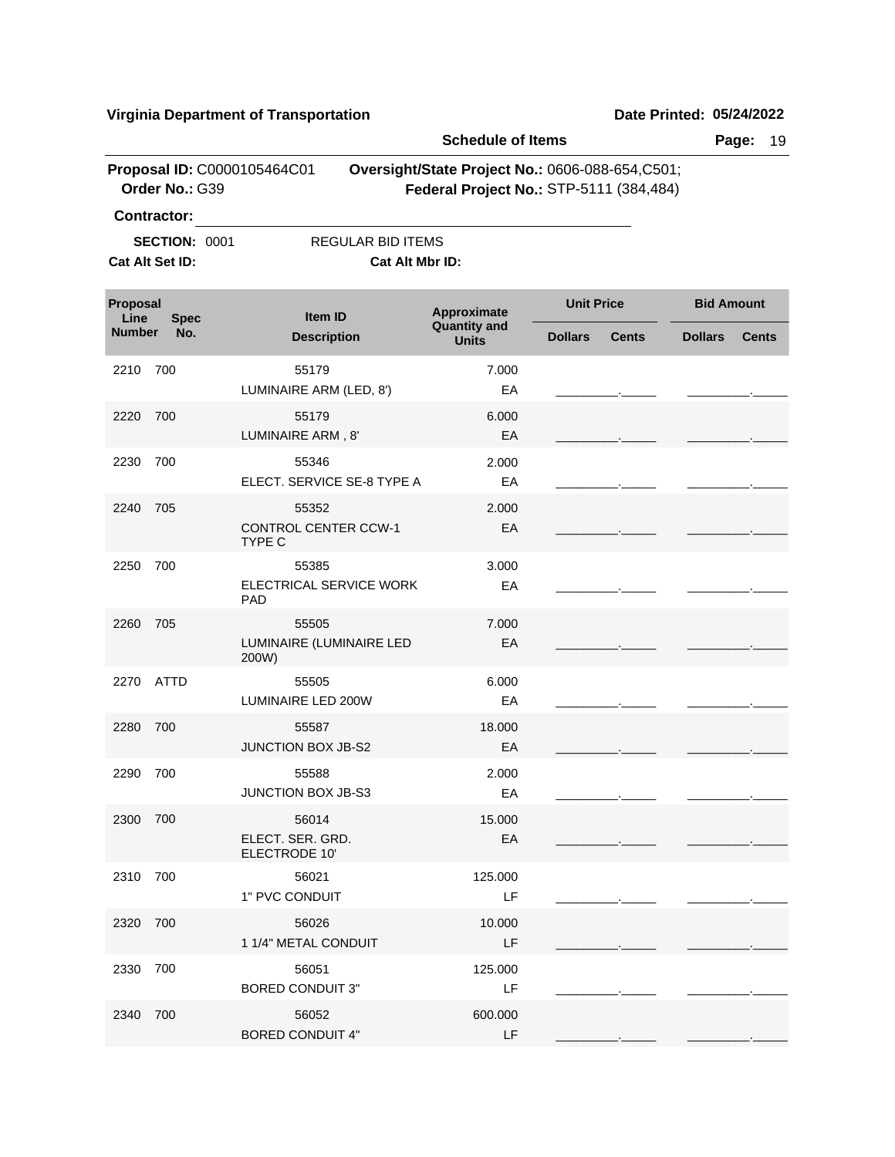|                         |                                               |                                                | <b>Schedule of Items</b>                                                                    |                   |              | Page:             | 19           |
|-------------------------|-----------------------------------------------|------------------------------------------------|---------------------------------------------------------------------------------------------|-------------------|--------------|-------------------|--------------|
|                         | Proposal ID: C0000105464C01<br>Order No.: G39 |                                                | Oversight/State Project No.: 0606-088-654, C501;<br>Federal Project No.: STP-5111 (384,484) |                   |              |                   |              |
|                         | <b>Contractor:</b>                            |                                                |                                                                                             |                   |              |                   |              |
|                         | <b>SECTION: 0001</b><br>Cat Alt Set ID:       | <b>REGULAR BID ITEMS</b><br>Cat Alt Mbr ID:    |                                                                                             |                   |              |                   |              |
| <b>Proposal</b><br>Line | <b>Spec</b>                                   | <b>Item ID</b>                                 | Approximate                                                                                 | <b>Unit Price</b> |              | <b>Bid Amount</b> |              |
| <b>Number</b>           | No.                                           | <b>Description</b>                             | <b>Quantity and</b><br><b>Units</b>                                                         | <b>Dollars</b>    | <b>Cents</b> | <b>Dollars</b>    | <b>Cents</b> |
| 2210                    | 700                                           | 55179<br>LUMINAIRE ARM (LED, 8')               | 7.000<br>EA                                                                                 |                   |              |                   |              |
| 2220                    | 700                                           | 55179<br>LUMINAIRE ARM, 8'                     | 6.000<br>EA                                                                                 |                   |              |                   |              |
| 2230                    | 700                                           | 55346<br>ELECT. SERVICE SE-8 TYPE A            | 2.000<br>EA                                                                                 |                   |              |                   |              |
| 2240                    | 705                                           | 55352<br><b>CONTROL CENTER CCW-1</b><br>TYPE C | 2.000<br>EA                                                                                 |                   |              |                   |              |
| 2250                    | 700                                           | 55385<br>ELECTRICAL SERVICE WORK<br>PAD        | 3.000<br>EA                                                                                 |                   |              |                   |              |
| 2260                    | 705                                           | 55505<br>LUMINAIRE (LUMINAIRE LED<br>200W)     | 7.000<br>EA                                                                                 |                   |              |                   |              |
| 2270                    | ATTD                                          | 55505<br>LUMINAIRE LED 200W                    | 6.000<br>EA                                                                                 |                   |              |                   |              |
| 2280                    | 700                                           | 55587<br><b>JUNCTION BOX JB-S2</b>             | 18.000<br>EA                                                                                |                   |              |                   |              |
| 2290                    | 700                                           | 55588<br><b>JUNCTION BOX JB-S3</b>             | 2.000<br>EA                                                                                 |                   |              |                   |              |
| 2300 700                |                                               | 56014<br>ELECT. SER. GRD.<br>ELECTRODE 10'     | 15.000<br>EA                                                                                |                   |              |                   |              |
| 2310                    | 700                                           | 56021<br>1" PVC CONDUIT                        | 125.000<br>LF                                                                               |                   |              |                   |              |
| 2320 700                |                                               | 56026<br>1 1/4" METAL CONDUIT                  | 10.000<br>LF.                                                                               |                   |              |                   |              |
| 2330                    | 700                                           | 56051<br><b>BORED CONDUIT 3"</b>               | 125.000<br>LF                                                                               |                   |              |                   |              |
| 2340                    | 700                                           | 56052<br><b>BORED CONDUIT 4"</b>               | 600.000<br>LF                                                                               |                   |              |                   |              |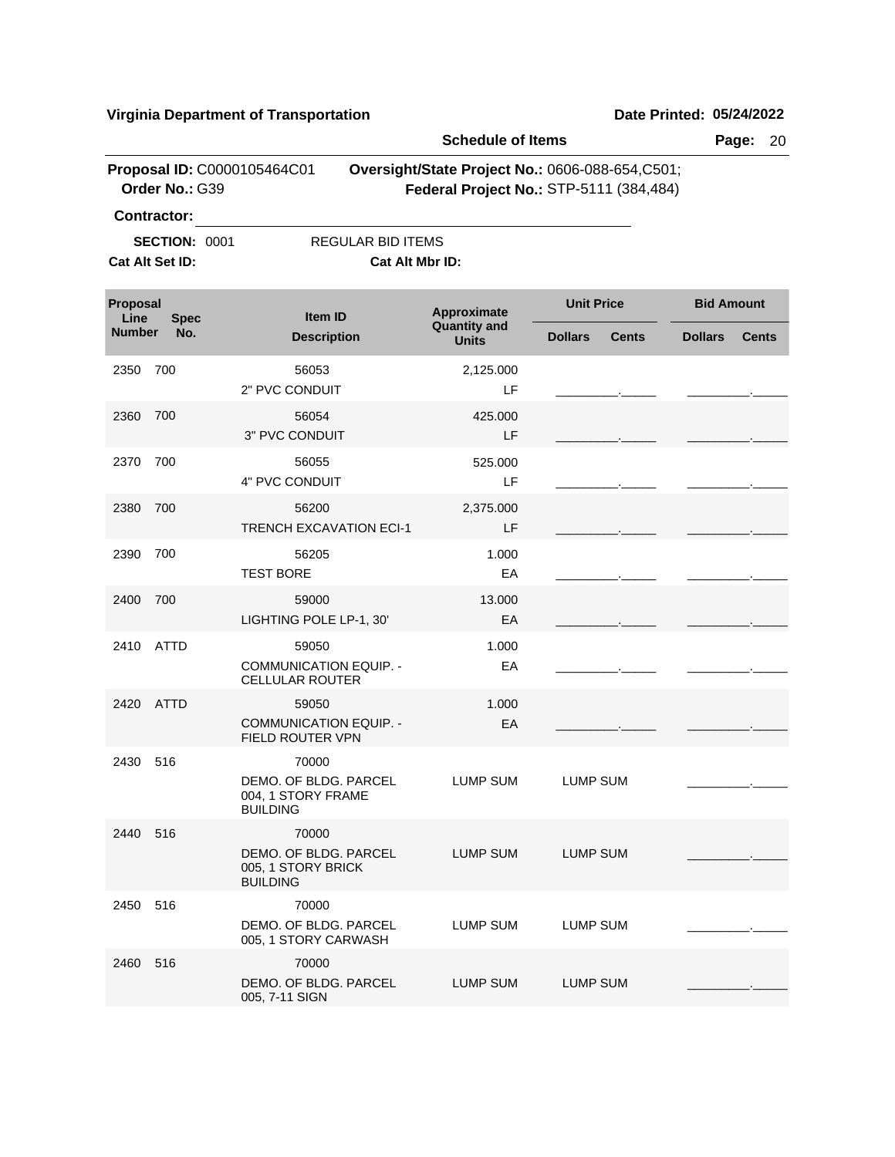|                  |                                               |                                                                         | <b>Schedule of Items</b>            |                                                                                            | Page:                          | 20 |
|------------------|-----------------------------------------------|-------------------------------------------------------------------------|-------------------------------------|--------------------------------------------------------------------------------------------|--------------------------------|----|
|                  | Proposal ID: C0000105464C01<br>Order No.: G39 |                                                                         |                                     | Oversight/State Project No.: 0606-088-654,C501;<br>Federal Project No.: STP-5111 (384,484) |                                |    |
|                  | <b>Contractor:</b>                            |                                                                         |                                     |                                                                                            |                                |    |
|                  | <b>SECTION: 0001</b>                          | <b>REGULAR BID ITEMS</b>                                                |                                     |                                                                                            |                                |    |
|                  | Cat Alt Set ID:                               | Cat Alt Mbr ID:                                                         |                                     |                                                                                            |                                |    |
| Proposal<br>Line | <b>Spec</b>                                   | Item ID                                                                 | Approximate                         | <b>Unit Price</b>                                                                          | <b>Bid Amount</b>              |    |
| <b>Number</b>    | No.                                           | <b>Description</b>                                                      | <b>Quantity and</b><br><b>Units</b> | <b>Dollars</b><br><b>Cents</b>                                                             | <b>Dollars</b><br><b>Cents</b> |    |
| 2350             | 700                                           | 56053<br>2" PVC CONDUIT                                                 | 2,125.000<br>LF                     |                                                                                            |                                |    |
| 2360             | 700                                           | 56054<br>3" PVC CONDUIT                                                 | 425.000<br>LF                       |                                                                                            |                                |    |
| 2370             | 700                                           | 56055<br>4" PVC CONDUIT                                                 | 525.000<br>LF                       |                                                                                            |                                |    |
| 2380             | 700                                           | 56200<br><b>TRENCH EXCAVATION ECI-1</b>                                 | 2,375.000<br>LF                     |                                                                                            |                                |    |
| 2390             | 700                                           | 56205<br><b>TEST BORE</b>                                               | 1.000<br>EA                         |                                                                                            |                                |    |
| 2400             | 700                                           | 59000<br>LIGHTING POLE LP-1, 30'                                        | 13.000<br>EA                        |                                                                                            |                                |    |
| 2410             | ATTD                                          | 59050<br><b>COMMUNICATION EQUIP. -</b><br><b>CELLULAR ROUTER</b>        | 1.000<br>EA                         |                                                                                            |                                |    |
| 2420             | ATTD                                          | 59050<br><b>COMMUNICATION EQUIP. -</b><br>FIELD ROUTER VPN              | 1.000<br>EA                         |                                                                                            |                                |    |
| 2430             | 516                                           | 70000<br>DEMO. OF BLDG. PARCEL<br>004, 1 STORY FRAME<br><b>BUILDING</b> | LUMP SUM                            | LUMP SUM                                                                                   |                                |    |
| 2440 516         |                                               | 70000<br>DEMO. OF BLDG. PARCEL<br>005, 1 STORY BRICK<br><b>BUILDING</b> | LUMP SUM                            | <b>LUMP SUM</b>                                                                            |                                |    |
| 2450 516         |                                               | 70000<br>DEMO. OF BLDG. PARCEL<br>005, 1 STORY CARWASH                  | LUMP SUM                            | <b>LUMP SUM</b>                                                                            |                                |    |
| 2460             | 516                                           | 70000<br>DEMO. OF BLDG. PARCEL<br>005, 7-11 SIGN                        | LUMP SUM                            | <b>LUMP SUM</b>                                                                            |                                |    |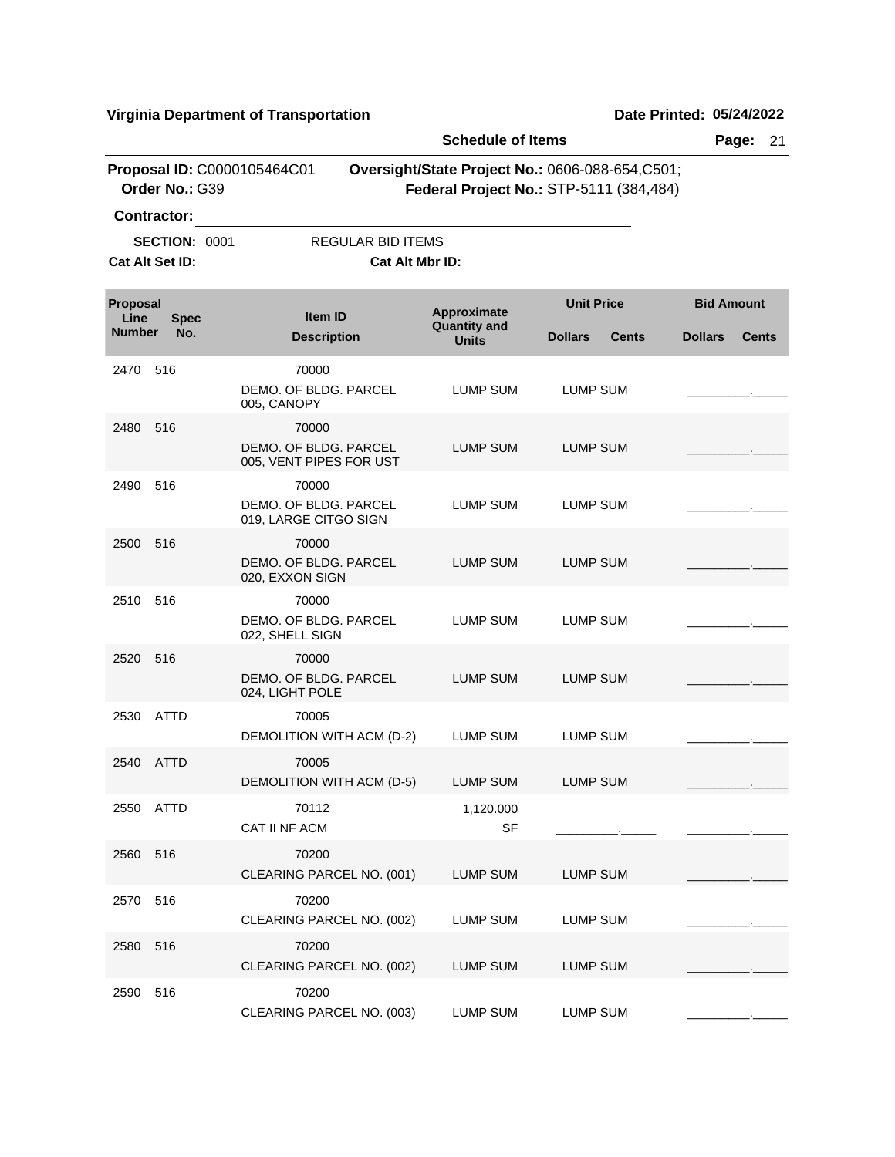|                         |                                               |                                                           | <b>Schedule of Items</b>           |                                                                                             | Page:<br>21                    |
|-------------------------|-----------------------------------------------|-----------------------------------------------------------|------------------------------------|---------------------------------------------------------------------------------------------|--------------------------------|
|                         | Proposal ID: C0000105464C01<br>Order No.: G39 |                                                           |                                    | Oversight/State Project No.: 0606-088-654, C501;<br>Federal Project No.: STP-5111 (384,484) |                                |
|                         | <b>Contractor:</b>                            |                                                           |                                    |                                                                                             |                                |
|                         | <b>SECTION: 0001</b>                          | REGULAR BID ITEMS                                         |                                    |                                                                                             |                                |
|                         | Cat Alt Set ID:                               | Cat Alt Mbr ID:                                           |                                    |                                                                                             |                                |
| <b>Proposal</b><br>Line | <b>Spec</b>                                   | Item ID                                                   | Approximate<br><b>Quantity and</b> | <b>Unit Price</b>                                                                           | <b>Bid Amount</b>              |
| <b>Number</b>           | No.                                           | <b>Description</b>                                        | <b>Units</b>                       | <b>Dollars</b><br><b>Cents</b>                                                              | <b>Dollars</b><br><b>Cents</b> |
| 2470                    | 516                                           | 70000<br>DEMO, OF BLDG, PARCEL<br>005, CANOPY             | LUMP SUM                           | LUMP SUM                                                                                    |                                |
| 2480                    | 516                                           | 70000<br>DEMO, OF BLDG, PARCEL<br>005, VENT PIPES FOR UST | <b>LUMP SUM</b>                    | <b>LUMP SUM</b>                                                                             |                                |
| 2490                    | 516                                           | 70000<br>DEMO. OF BLDG. PARCEL<br>019, LARGE CITGO SIGN   | LUMP SUM                           | LUMP SUM                                                                                    |                                |
| 2500                    | 516                                           | 70000<br>DEMO. OF BLDG. PARCEL<br>020, EXXON SIGN         | LUMP SUM                           | LUMP SUM                                                                                    |                                |
| 2510                    | 516                                           | 70000<br>DEMO. OF BLDG. PARCEL<br>022, SHELL SIGN         | <b>LUMP SUM</b>                    | LUMP SUM                                                                                    |                                |
| 2520                    | 516                                           | 70000<br>DEMO. OF BLDG. PARCEL<br>024, LIGHT POLE         | <b>LUMP SUM</b>                    | <b>LUMP SUM</b>                                                                             |                                |
| 2530                    | ATTD                                          | 70005<br>DEMOLITION WITH ACM (D-2)                        | LUMP SUM                           | <b>LUMP SUM</b>                                                                             |                                |
| 2540                    | ATTD                                          | 70005<br>DEMOLITION WITH ACM (D-5)                        | LUMP SUM                           | <b>LUMP SUM</b>                                                                             |                                |
|                         | 2550 ATTD                                     | 70112<br>CAT II NF ACM                                    | 1,120.000<br><b>SF</b>             |                                                                                             |                                |
| 2560                    | 516                                           | 70200<br>CLEARING PARCEL NO. (001)                        | LUMP SUM                           | <b>LUMP SUM</b>                                                                             |                                |
| 2570                    | 516                                           | 70200<br>CLEARING PARCEL NO. (002)                        | LUMP SUM                           | <b>LUMP SUM</b>                                                                             |                                |
| 2580                    | 516                                           | 70200<br>CLEARING PARCEL NO. (002)                        | <b>LUMP SUM</b>                    | <b>LUMP SUM</b>                                                                             |                                |
| 2590                    | 516                                           | 70200<br>CLEARING PARCEL NO. (003)                        | LUMP SUM                           | <b>LUMP SUM</b>                                                                             |                                |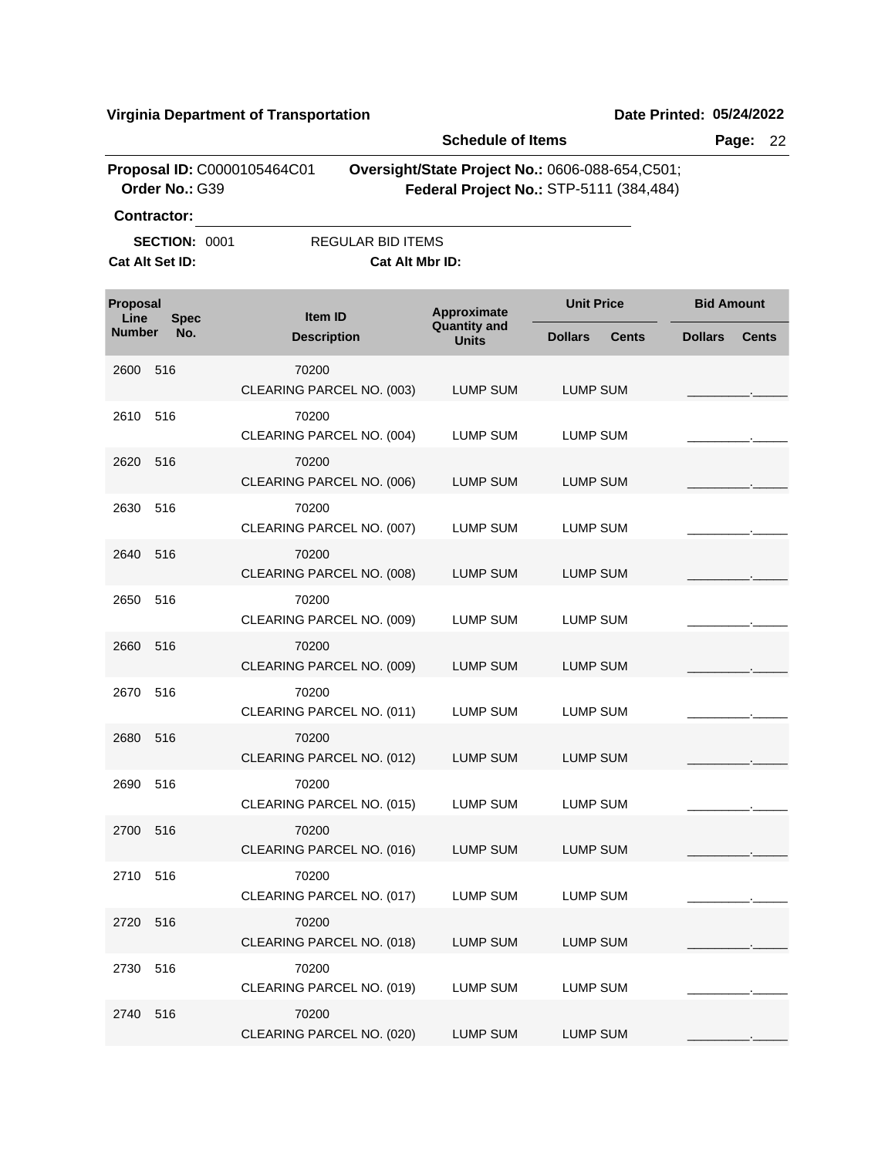|                  |                                         |                             |                                             | <b>Schedule of Items</b>                                                                   |                   |                                | Page:             | 22           |
|------------------|-----------------------------------------|-----------------------------|---------------------------------------------|--------------------------------------------------------------------------------------------|-------------------|--------------------------------|-------------------|--------------|
|                  | Order No.: G39<br><b>Contractor:</b>    | Proposal ID: C0000105464C01 |                                             | Oversight/State Project No.: 0606-088-654,C501;<br>Federal Project No.: STP-5111 (384,484) |                   |                                |                   |              |
|                  | <b>SECTION: 0001</b><br>Cat Alt Set ID: |                             | <b>REGULAR BID ITEMS</b><br>Cat Alt Mbr ID: |                                                                                            |                   |                                |                   |              |
| Proposal<br>Line | <b>Spec</b>                             |                             | <b>Item ID</b>                              | Approximate                                                                                | <b>Unit Price</b> |                                | <b>Bid Amount</b> |              |
| <b>Number</b>    | No.                                     |                             | <b>Description</b>                          | <b>Quantity and</b><br><b>Units</b>                                                        | <b>Dollars</b>    | <b>Dollars</b><br><b>Cents</b> |                   | <b>Cents</b> |
| 2600             | 516                                     | 70200                       | CLEARING PARCEL NO. (003)                   | <b>LUMP SUM</b>                                                                            | <b>LUMP SUM</b>   |                                |                   |              |
| 2610             | 516                                     | 70200                       | CLEARING PARCEL NO. (004)                   | LUMP SUM                                                                                   | LUMP SUM          |                                |                   |              |
| 2620             | 516                                     | 70200                       | CLEARING PARCEL NO. (006)                   | <b>LUMP SUM</b>                                                                            | <b>LUMP SUM</b>   |                                |                   |              |
| 2630             | 516                                     | 70200                       | CLEARING PARCEL NO. (007)                   | LUMP SUM                                                                                   | LUMP SUM          |                                |                   |              |
| 2640             | 516                                     | 70200                       | CLEARING PARCEL NO. (008)                   | <b>LUMP SUM</b>                                                                            | <b>LUMP SUM</b>   |                                |                   |              |
| 2650             | 516                                     | 70200                       | CLEARING PARCEL NO. (009)                   | LUMP SUM                                                                                   | LUMP SUM          |                                |                   |              |
| 2660             | 516                                     | 70200                       | CLEARING PARCEL NO. (009)                   | LUMP SUM                                                                                   | <b>LUMP SUM</b>   |                                |                   |              |
| 2670             | 516                                     | 70200                       | CLEARING PARCEL NO. (011)                   | <b>LUMP SUM</b>                                                                            | <b>LUMP SUM</b>   |                                |                   |              |
| 2680             | 516                                     | 70200                       | CLEARING PARCEL NO. (012)                   | <b>LUMP SUM</b>                                                                            | <b>LUMP SUM</b>   |                                |                   |              |
| 2690             | 516                                     | 70200                       | CLEARING PARCEL NO. (015)                   | LUMP SUM                                                                                   | <b>LUMP SUM</b>   |                                |                   |              |
| 2700 516         |                                         | 70200                       | CLEARING PARCEL NO. (016)                   | <b>LUMP SUM</b>                                                                            | <b>LUMP SUM</b>   |                                |                   |              |
| 2710             | 516                                     | 70200                       | CLEARING PARCEL NO. (017)                   | LUMP SUM                                                                                   | <b>LUMP SUM</b>   |                                |                   |              |
| 2720             | 516                                     | 70200                       | CLEARING PARCEL NO. (018)                   | LUMP SUM                                                                                   | <b>LUMP SUM</b>   |                                |                   |              |
| 2730             | 516                                     | 70200                       | CLEARING PARCEL NO. (019)                   | LUMP SUM                                                                                   | <b>LUMP SUM</b>   |                                |                   |              |
| 2740             | 516                                     | 70200                       | CLEARING PARCEL NO. (020)                   | LUMP SUM                                                                                   | LUMP SUM          |                                |                   |              |